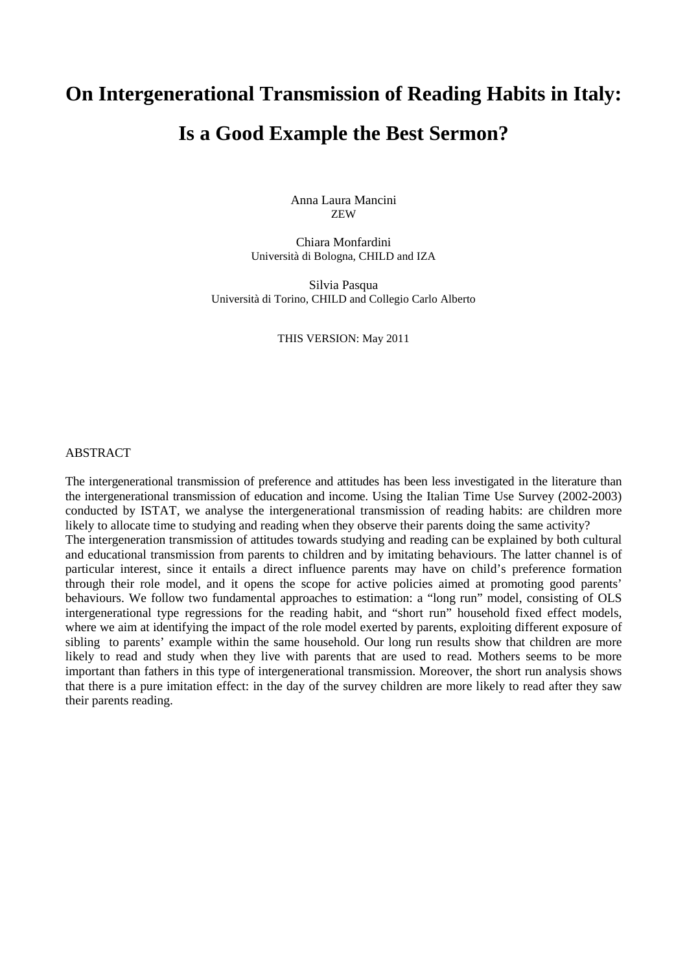# **On Intergenerational Transmission of Reading Habits in Italy: Is a Good Example the Best Sermon?**

Anna Laura Mancini ZEW

Chiara Monfardini Università di Bologna, CHILD and IZA

Silvia Pasqua Università di Torino, CHILD and Collegio Carlo Alberto

THIS VERSION: May 2011

#### ABSTRACT

The intergenerational transmission of preference and attitudes has been less investigated in the literature than the intergenerational transmission of education and income. Using the Italian Time Use Survey (2002-2003) conducted by ISTAT, we analyse the intergenerational transmission of reading habits: are children more likely to allocate time to studying and reading when they observe their parents doing the same activity? The intergeneration transmission of attitudes towards studying and reading can be explained by both cultural and educational transmission from parents to children and by imitating behaviours. The latter channel is of particular interest, since it entails a direct influence parents may have on child's preference formation through their role model, and it opens the scope for active policies aimed at promoting good parents' behaviours. We follow two fundamental approaches to estimation: a "long run" model, consisting of OLS intergenerational type regressions for the reading habit, and "short run" household fixed effect models, where we aim at identifying the impact of the role model exerted by parents, exploiting different exposure of sibling to parents' example within the same household. Our long run results show that children are more likely to read and study when they live with parents that are used to read. Mothers seems to be more important than fathers in this type of intergenerational transmission. Moreover, the short run analysis shows that there is a pure imitation effect: in the day of the survey children are more likely to read after they saw their parents reading.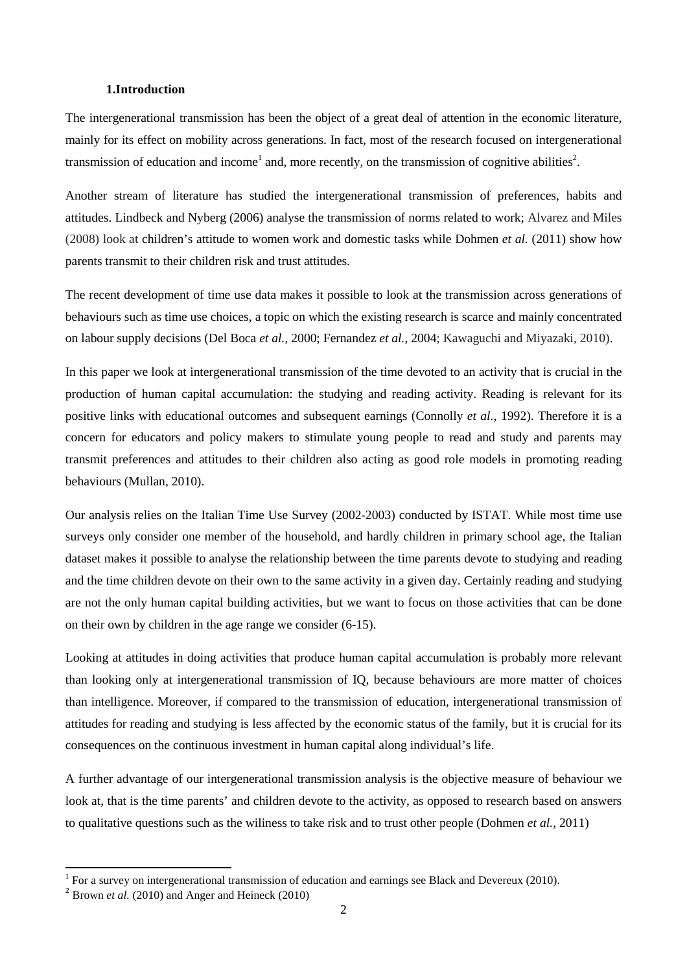#### **1.Introduction**

The intergenerational transmission has been the object of a great deal of attention in the economic literature, mainly for its effect on mobility across generations. In fact, most of the research focused on intergenerational transmission of education and income<sup>1</sup> and, more recently, on the transmission of cognitive abilities<sup>2</sup>.

Another stream of literature has studied the intergenerational transmission of preferences, habits and attitudes. Lindbeck and Nyberg (2006) analyse the transmission of norms related to work; Alvarez and Miles (2008) look at children's attitude to women work and domestic tasks while Dohmen *et al.* (2011) show how parents transmit to their children risk and trust attitudes.

The recent development of time use data makes it possible to look at the transmission across generations of behaviours such as time use choices, a topic on which the existing research is scarce and mainly concentrated on labour supply decisions (Del Boca *et al.*, 2000; Fernandez *et al.*, 2004; Kawaguchi and Miyazaki, 2010).

In this paper we look at intergenerational transmission of the time devoted to an activity that is crucial in the production of human capital accumulation: the studying and reading activity. Reading is relevant for its positive links with educational outcomes and subsequent earnings (Connolly *et al.*, 1992). Therefore it is a concern for educators and policy makers to stimulate young people to read and study and parents may transmit preferences and attitudes to their children also acting as good role models in promoting reading behaviours (Mullan, 2010).

Our analysis relies on the Italian Time Use Survey (2002-2003) conducted by ISTAT. While most time use surveys only consider one member of the household, and hardly children in primary school age, the Italian dataset makes it possible to analyse the relationship between the time parents devote to studying and reading and the time children devote on their own to the same activity in a given day. Certainly reading and studying are not the only human capital building activities, but we want to focus on those activities that can be done on their own by children in the age range we consider (6-15).

Looking at attitudes in doing activities that produce human capital accumulation is probably more relevant than looking only at intergenerational transmission of IQ, because behaviours are more matter of choices than intelligence. Moreover, if compared to the transmission of education, intergenerational transmission of attitudes for reading and studying is less affected by the economic status of the family, but it is crucial for its consequences on the continuous investment in human capital along individual's life.

A further advantage of our intergenerational transmission analysis is the objective measure of behaviour we look at, that is the time parents' and children devote to the activity, as opposed to research based on answers to qualitative questions such as the wiliness to take risk and to trust other people (Dohmen *et al.*, 2011)

 $\overline{a}$ 

<sup>&</sup>lt;sup>1</sup> For a survey on intergenerational transmission of education and earnings see Black and Devereux (2010).

 $^2$  Brown *et al.* (2010) and Anger and Heineck (2010)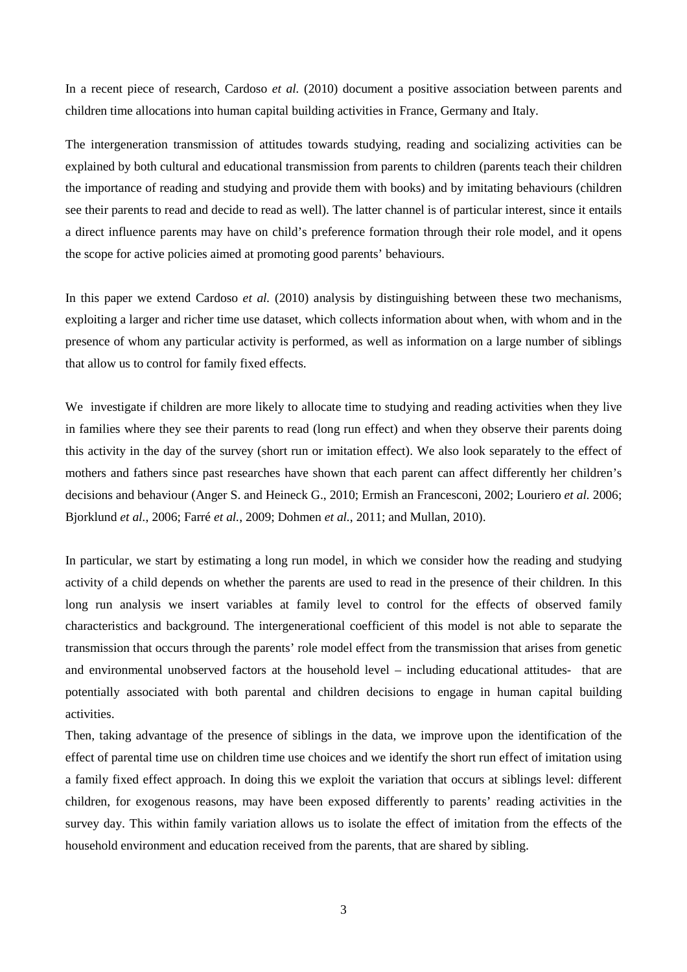In a recent piece of research, Cardoso *et al.* (2010) document a positive association between parents and children time allocations into human capital building activities in France, Germany and Italy.

The intergeneration transmission of attitudes towards studying, reading and socializing activities can be explained by both cultural and educational transmission from parents to children (parents teach their children the importance of reading and studying and provide them with books) and by imitating behaviours (children see their parents to read and decide to read as well). The latter channel is of particular interest, since it entails a direct influence parents may have on child's preference formation through their role model, and it opens the scope for active policies aimed at promoting good parents' behaviours.

In this paper we extend Cardoso *et al.* (2010) analysis by distinguishing between these two mechanisms, exploiting a larger and richer time use dataset, which collects information about when, with whom and in the presence of whom any particular activity is performed, as well as information on a large number of siblings that allow us to control for family fixed effects.

We investigate if children are more likely to allocate time to studying and reading activities when they live in families where they see their parents to read (long run effect) and when they observe their parents doing this activity in the day of the survey (short run or imitation effect). We also look separately to the effect of mothers and fathers since past researches have shown that each parent can affect differently her children's decisions and behaviour (Anger S. and Heineck G., 2010; Ermish an Francesconi, 2002; Louriero *et al.* 2006; Bjorklund *et al.*, 2006; Farré *et al.*, 2009; Dohmen *et al.*, 2011; and Mullan, 2010).

In particular, we start by estimating a long run model, in which we consider how the reading and studying activity of a child depends on whether the parents are used to read in the presence of their children. In this long run analysis we insert variables at family level to control for the effects of observed family characteristics and background. The intergenerational coefficient of this model is not able to separate the transmission that occurs through the parents' role model effect from the transmission that arises from genetic and environmental unobserved factors at the household level – including educational attitudes- that are potentially associated with both parental and children decisions to engage in human capital building activities.

Then, taking advantage of the presence of siblings in the data, we improve upon the identification of the effect of parental time use on children time use choices and we identify the short run effect of imitation using a family fixed effect approach. In doing this we exploit the variation that occurs at siblings level: different children, for exogenous reasons, may have been exposed differently to parents' reading activities in the survey day. This within family variation allows us to isolate the effect of imitation from the effects of the household environment and education received from the parents, that are shared by sibling.

3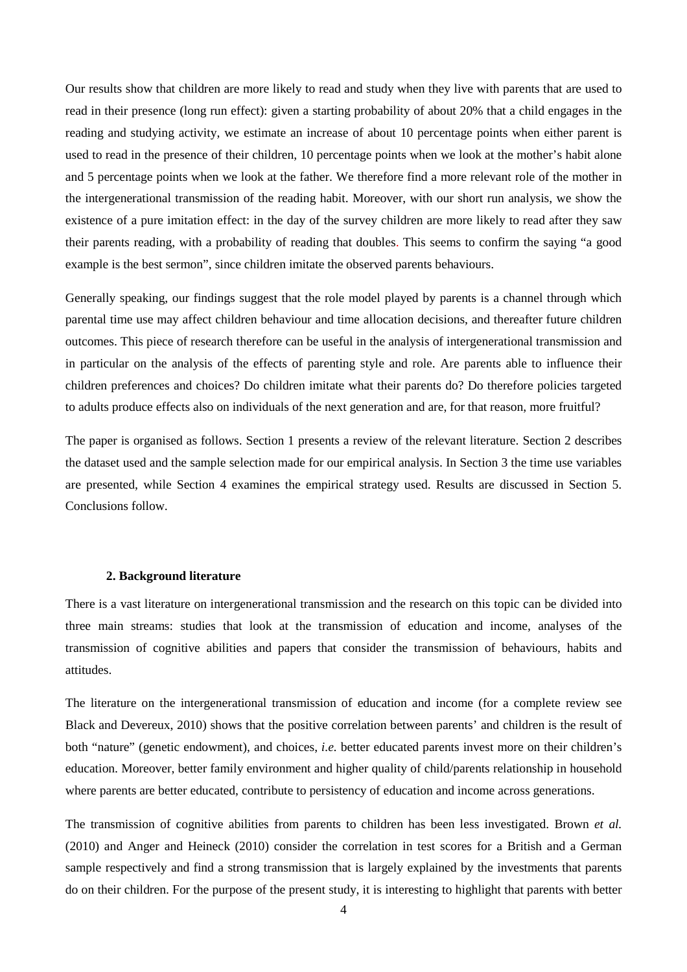Our results show that children are more likely to read and study when they live with parents that are used to read in their presence (long run effect): given a starting probability of about 20% that a child engages in the reading and studying activity, we estimate an increase of about 10 percentage points when either parent is used to read in the presence of their children, 10 percentage points when we look at the mother's habit alone and 5 percentage points when we look at the father. We therefore find a more relevant role of the mother in the intergenerational transmission of the reading habit. Moreover, with our short run analysis, we show the existence of a pure imitation effect: in the day of the survey children are more likely to read after they saw their parents reading, with a probability of reading that doubles. This seems to confirm the saying "a good example is the best sermon", since children imitate the observed parents behaviours.

Generally speaking, our findings suggest that the role model played by parents is a channel through which parental time use may affect children behaviour and time allocation decisions, and thereafter future children outcomes. This piece of research therefore can be useful in the analysis of intergenerational transmission and in particular on the analysis of the effects of parenting style and role. Are parents able to influence their children preferences and choices? Do children imitate what their parents do? Do therefore policies targeted to adults produce effects also on individuals of the next generation and are, for that reason, more fruitful?

The paper is organised as follows. Section 1 presents a review of the relevant literature. Section 2 describes the dataset used and the sample selection made for our empirical analysis. In Section 3 the time use variables are presented, while Section 4 examines the empirical strategy used. Results are discussed in Section 5. Conclusions follow.

#### **2. Background literature**

There is a vast literature on intergenerational transmission and the research on this topic can be divided into three main streams: studies that look at the transmission of education and income, analyses of the transmission of cognitive abilities and papers that consider the transmission of behaviours, habits and attitudes.

The literature on the intergenerational transmission of education and income (for a complete review see Black and Devereux, 2010) shows that the positive correlation between parents' and children is the result of both "nature" (genetic endowment), and choices, *i.e.* better educated parents invest more on their children's education. Moreover, better family environment and higher quality of child/parents relationship in household where parents are better educated, contribute to persistency of education and income across generations.

The transmission of cognitive abilities from parents to children has been less investigated. Brown *et al.*  (2010) and Anger and Heineck (2010) consider the correlation in test scores for a British and a German sample respectively and find a strong transmission that is largely explained by the investments that parents do on their children. For the purpose of the present study, it is interesting to highlight that parents with better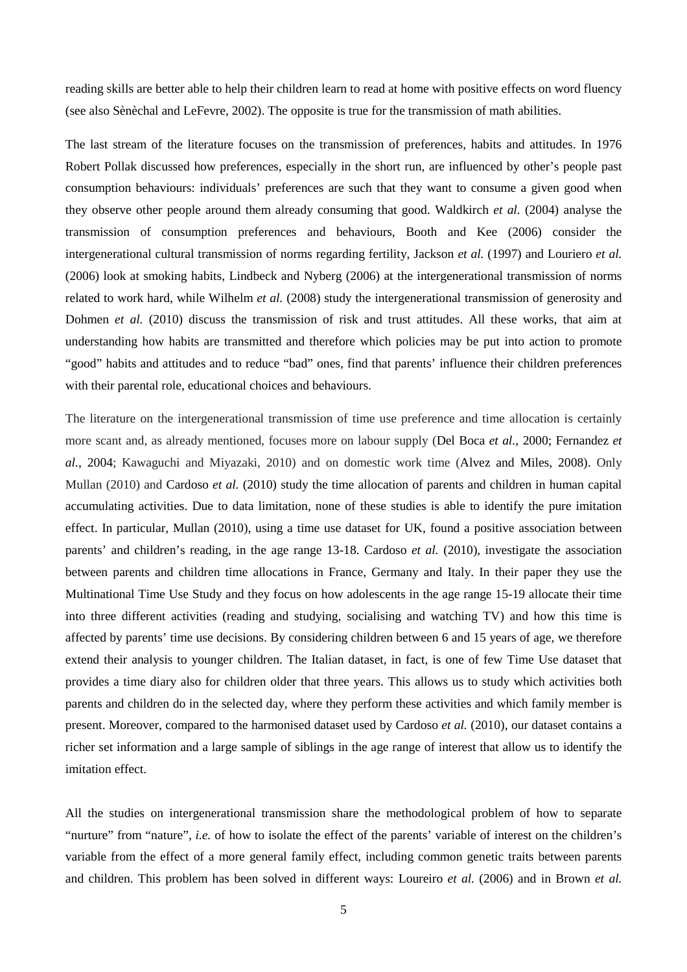reading skills are better able to help their children learn to read at home with positive effects on word fluency (see also Sènèchal and LeFevre, 2002). The opposite is true for the transmission of math abilities.

The last stream of the literature focuses on the transmission of preferences, habits and attitudes. In 1976 Robert Pollak discussed how preferences, especially in the short run, are influenced by other's people past consumption behaviours: individuals' preferences are such that they want to consume a given good when they observe other people around them already consuming that good. Waldkirch *et al.* (2004) analyse the transmission of consumption preferences and behaviours, Booth and Kee (2006) consider the intergenerational cultural transmission of norms regarding fertility, Jackson *et al.* (1997) and Louriero *et al.*  (2006) look at smoking habits, Lindbeck and Nyberg (2006) at the intergenerational transmission of norms related to work hard, while Wilhelm *et al.* (2008) study the intergenerational transmission of generosity and Dohmen *et al.* (2010) discuss the transmission of risk and trust attitudes. All these works, that aim at understanding how habits are transmitted and therefore which policies may be put into action to promote "good" habits and attitudes and to reduce "bad" ones, find that parents' influence their children preferences with their parental role, educational choices and behaviours.

The literature on the intergenerational transmission of time use preference and time allocation is certainly more scant and, as already mentioned, focuses more on labour supply (Del Boca *et al.*, 2000; Fernandez *et al.*, 2004; Kawaguchi and Miyazaki, 2010) and on domestic work time (Alvez and Miles, 2008). Only Mullan (2010) and Cardoso *et al.* (2010) study the time allocation of parents and children in human capital accumulating activities. Due to data limitation, none of these studies is able to identify the pure imitation effect. In particular, Mullan (2010), using a time use dataset for UK, found a positive association between parents' and children's reading, in the age range 13-18. Cardoso *et al.* (2010), investigate the association between parents and children time allocations in France, Germany and Italy. In their paper they use the Multinational Time Use Study and they focus on how adolescents in the age range 15-19 allocate their time into three different activities (reading and studying, socialising and watching TV) and how this time is affected by parents' time use decisions. By considering children between 6 and 15 years of age, we therefore extend their analysis to younger children. The Italian dataset, in fact, is one of few Time Use dataset that provides a time diary also for children older that three years. This allows us to study which activities both parents and children do in the selected day, where they perform these activities and which family member is present. Moreover, compared to the harmonised dataset used by Cardoso *et al.* (2010), our dataset contains a richer set information and a large sample of siblings in the age range of interest that allow us to identify the imitation effect.

All the studies on intergenerational transmission share the methodological problem of how to separate "nurture" from "nature", *i.e.* of how to isolate the effect of the parents' variable of interest on the children's variable from the effect of a more general family effect, including common genetic traits between parents and children. This problem has been solved in different ways: Loureiro *et al.* (2006) and in Brown *et al.*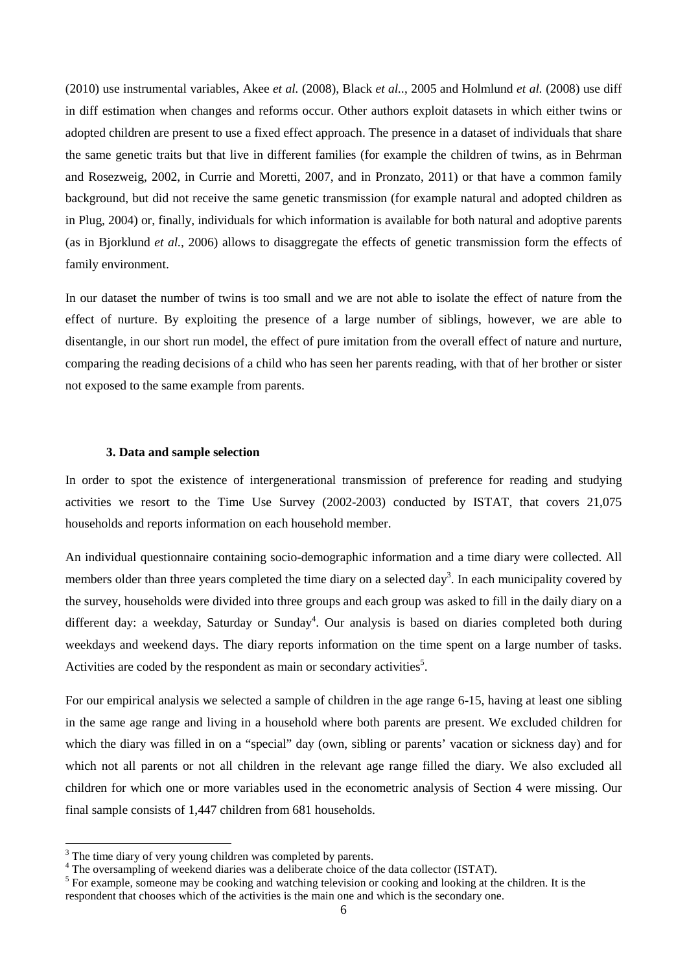(2010) use instrumental variables, Akee *et al.* (2008), Black *et al..*, 2005 and Holmlund *et al.* (2008) use diff in diff estimation when changes and reforms occur. Other authors exploit datasets in which either twins or adopted children are present to use a fixed effect approach. The presence in a dataset of individuals that share the same genetic traits but that live in different families (for example the children of twins, as in Behrman and Rosezweig, 2002, in Currie and Moretti, 2007, and in Pronzato, 2011) or that have a common family background, but did not receive the same genetic transmission (for example natural and adopted children as in Plug, 2004) or, finally, individuals for which information is available for both natural and adoptive parents (as in Bjorklund *et al.*, 2006) allows to disaggregate the effects of genetic transmission form the effects of family environment.

In our dataset the number of twins is too small and we are not able to isolate the effect of nature from the effect of nurture. By exploiting the presence of a large number of siblings, however, we are able to disentangle, in our short run model, the effect of pure imitation from the overall effect of nature and nurture, comparing the reading decisions of a child who has seen her parents reading, with that of her brother or sister not exposed to the same example from parents.

#### **3. Data and sample selection**

In order to spot the existence of intergenerational transmission of preference for reading and studying activities we resort to the Time Use Survey (2002-2003) conducted by ISTAT, that covers 21,075 households and reports information on each household member.

An individual questionnaire containing socio-demographic information and a time diary were collected. All members older than three years completed the time diary on a selected day<sup>3</sup>. In each municipality covered by the survey, households were divided into three groups and each group was asked to fill in the daily diary on a different day: a weekday, Saturday or Sunday<sup>4</sup>. Our analysis is based on diaries completed both during weekdays and weekend days. The diary reports information on the time spent on a large number of tasks. Activities are coded by the respondent as main or secondary activities<sup>5</sup>.

For our empirical analysis we selected a sample of children in the age range 6-15, having at least one sibling in the same age range and living in a household where both parents are present. We excluded children for which the diary was filled in on a "special" day (own, sibling or parents' vacation or sickness day) and for which not all parents or not all children in the relevant age range filled the diary. We also excluded all children for which one or more variables used in the econometric analysis of Section 4 were missing. Our final sample consists of 1,447 children from 681 households.

l

 $3$  The time diary of very young children was completed by parents.

<sup>&</sup>lt;sup>4</sup> The oversampling of weekend diaries was a deliberate choice of the data collector (ISTAT).

<sup>&</sup>lt;sup>5</sup> For example, someone may be cooking and watching television or cooking and looking at the children. It is the respondent that chooses which of the activities is the main one and which is the secondary one.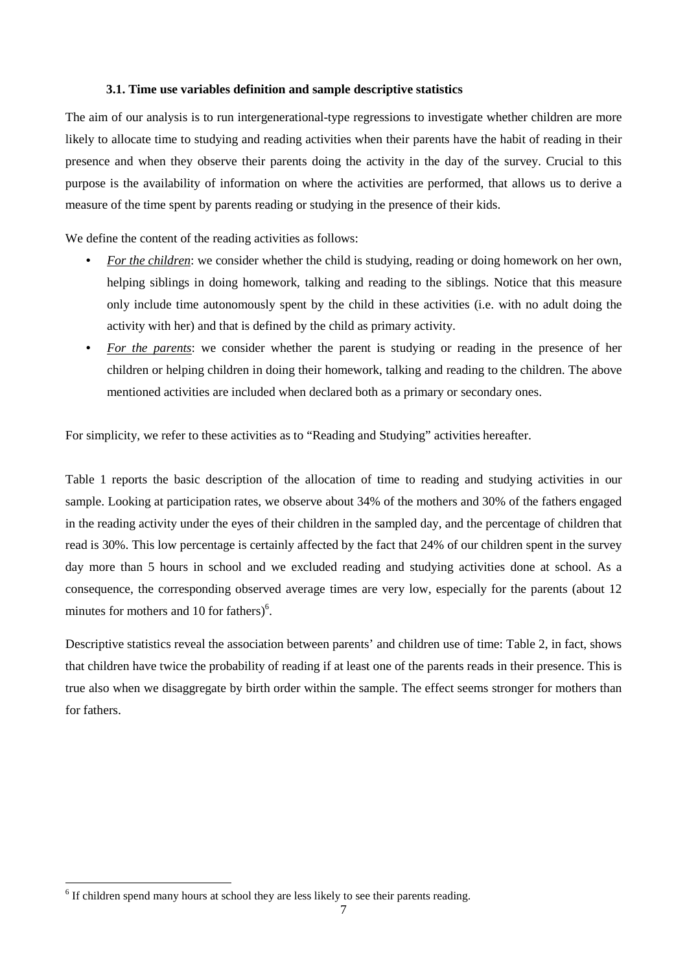#### **3.1. Time use variables definition and sample descriptive statistics**

The aim of our analysis is to run intergenerational-type regressions to investigate whether children are more likely to allocate time to studying and reading activities when their parents have the habit of reading in their presence and when they observe their parents doing the activity in the day of the survey. Crucial to this purpose is the availability of information on where the activities are performed, that allows us to derive a measure of the time spent by parents reading or studying in the presence of their kids.

We define the content of the reading activities as follows:

- *For the children*: we consider whether the child is studying, reading or doing homework on her own, helping siblings in doing homework, talking and reading to the siblings. Notice that this measure only include time autonomously spent by the child in these activities (i.e. with no adult doing the activity with her) and that is defined by the child as primary activity.
- *For the parents*: we consider whether the parent is studying or reading in the presence of her children or helping children in doing their homework, talking and reading to the children. The above mentioned activities are included when declared both as a primary or secondary ones.

For simplicity, we refer to these activities as to "Reading and Studying" activities hereafter.

Table 1 reports the basic description of the allocation of time to reading and studying activities in our sample. Looking at participation rates, we observe about 34% of the mothers and 30% of the fathers engaged in the reading activity under the eyes of their children in the sampled day, and the percentage of children that read is 30%. This low percentage is certainly affected by the fact that 24% of our children spent in the survey day more than 5 hours in school and we excluded reading and studying activities done at school. As a consequence, the corresponding observed average times are very low, especially for the parents (about 12 minutes for mothers and 10 for fathers) $6$ .

Descriptive statistics reveal the association between parents' and children use of time: Table 2, in fact, shows that children have twice the probability of reading if at least one of the parents reads in their presence. This is true also when we disaggregate by birth order within the sample. The effect seems stronger for mothers than for fathers.

 $\overline{a}$ 

<sup>&</sup>lt;sup>6</sup> If children spend many hours at school they are less likely to see their parents reading.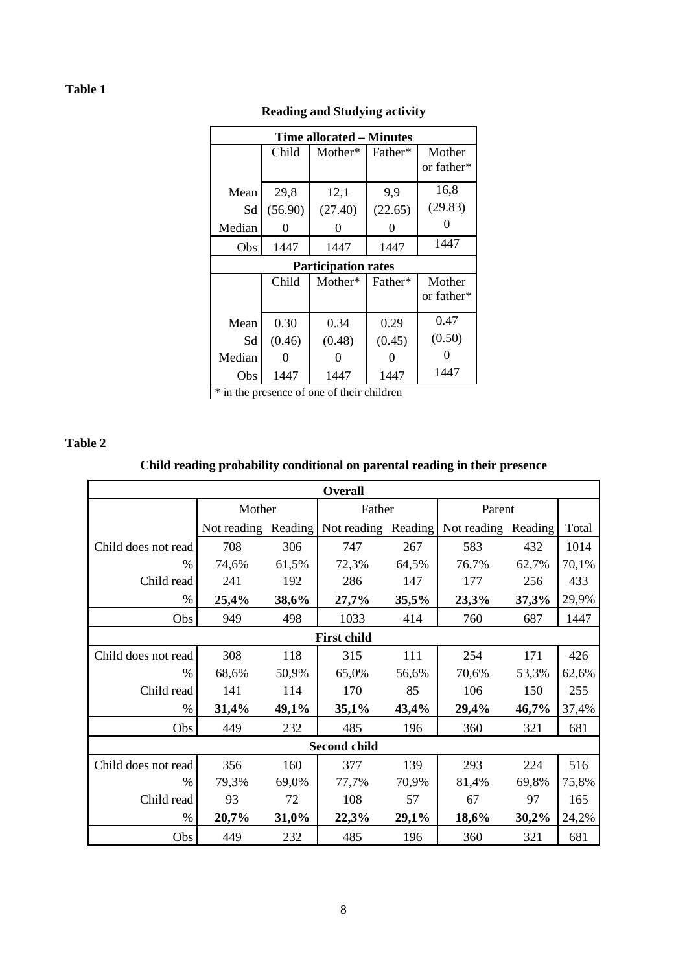| Time allocated – Minutes   |         |         |         |            |  |  |
|----------------------------|---------|---------|---------|------------|--|--|
|                            | Child   | Mother* | Father* | Mother     |  |  |
|                            |         |         |         | or father* |  |  |
| Mean                       | 29,8    | 12,1    | 9,9     | 16,8       |  |  |
| Sd                         | (56.90) | (27.40) | (22.65) | (29.83)    |  |  |
| Median                     |         | 0       |         |            |  |  |
| Obs                        | 1447    | 1447    | 1447    | 1447       |  |  |
| <b>Participation rates</b> |         |         |         |            |  |  |
|                            |         |         |         |            |  |  |
|                            | Child   | Mother* | Father* | Mother     |  |  |
|                            |         |         |         | or father* |  |  |
| Mean                       | 0.30    | 0.34    | 0.29    | 0.47       |  |  |
| Sd                         | (0.46)  | (0.48)  | (0.45)  | (0.50)     |  |  |
| Median                     |         |         |         |            |  |  |

# **Reading and Studying activity**

\* in the presence of one of their children

#### **Table 2**

### **Child reading probability conditional on parental reading in their presence**

| <b>Overall</b>      |        |       |                                         |       |                     |       |       |
|---------------------|--------|-------|-----------------------------------------|-------|---------------------|-------|-------|
|                     | Mother |       | Father                                  |       | Parent              |       |       |
|                     |        |       | Not reading Reading Not reading Reading |       | Not reading Reading |       | Total |
| Child does not read | 708    | 306   | 747                                     | 267   | 583                 | 432   | 1014  |
| $\frac{0}{0}$       | 74,6%  | 61,5% | 72,3%                                   | 64,5% | 76,7%               | 62,7% | 70,1% |
| Child read          | 241    | 192   | 286                                     | 147   | 177                 | 256   | 433   |
| $\frac{0}{0}$       | 25,4%  | 38,6% | 27,7%                                   | 35,5% | 23,3%               | 37,3% | 29,9% |
| Obs                 | 949    | 498   | 1033                                    | 414   | 760                 | 687   | 1447  |
|                     |        |       | <b>First child</b>                      |       |                     |       |       |
| Child does not read | 308    | 118   | 315                                     | 111   | 254                 | 171   | 426   |
| $\%$                | 68,6%  | 50,9% | 65,0%                                   | 56,6% | 70,6%               | 53,3% | 62,6% |
| Child read          | 141    | 114   | 170                                     | 85    | 106                 | 150   | 255   |
| $\%$                | 31,4%  | 49,1% | 35,1%                                   | 43,4% | 29,4%               | 46,7% | 37,4% |
| Obs                 | 449    | 232   | 485                                     | 196   | 360                 | 321   | 681   |
|                     |        |       | Second child                            |       |                     |       |       |
| Child does not read | 356    | 160   | 377                                     | 139   | 293                 | 224   | 516   |
| $\frac{0}{0}$       | 79,3%  | 69,0% | 77,7%                                   | 70,9% | 81,4%               | 69,8% | 75,8% |
| Child read          | 93     | 72    | 108                                     | 57    | 67                  | 97    | 165   |
| $\%$                | 20,7%  | 31,0% | 22,3%                                   | 29,1% | 18,6%               | 30,2% | 24,2% |
| Obs                 | 449    | 232   | 485                                     | 196   | 360                 | 321   | 681   |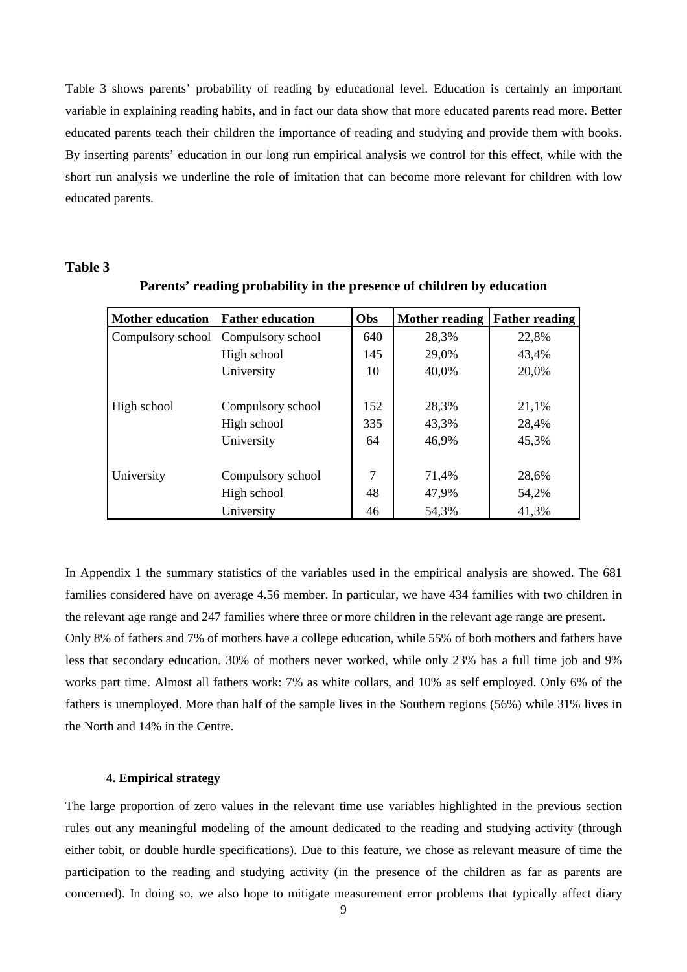Table 3 shows parents' probability of reading by educational level. Education is certainly an important variable in explaining reading habits, and in fact our data show that more educated parents read more. Better educated parents teach their children the importance of reading and studying and provide them with books. By inserting parents' education in our long run empirical analysis we control for this effect, while with the short run analysis we underline the role of imitation that can become more relevant for children with low educated parents.

#### **Table 3**

| <b>Mother education</b> | <b>Father education</b>             | Obs | <b>Mother reading</b> | <b>Father reading</b> |
|-------------------------|-------------------------------------|-----|-----------------------|-----------------------|
|                         | Compulsory school Compulsory school | 640 | 28,3%                 | 22,8%                 |
|                         | High school                         | 145 | 29,0%                 | 43,4%                 |
|                         | University                          | 10  | 40,0%                 | 20,0%                 |
|                         |                                     |     |                       |                       |
| High school             | Compulsory school                   | 152 | 28,3%                 | 21,1%                 |
|                         | High school                         | 335 | 43,3%                 | 28,4%                 |
|                         | University                          | 64  | 46,9%                 | 45,3%                 |
|                         |                                     |     |                       |                       |
| University              | Compulsory school                   | 7   | 71,4%                 | 28,6%                 |
|                         | High school                         | 48  | 47,9%                 | 54,2%                 |
|                         | University                          | 46  | 54,3%                 | 41,3%                 |

**Parents' reading probability in the presence of children by education** 

In Appendix 1 the summary statistics of the variables used in the empirical analysis are showed. The 681 families considered have on average 4.56 member. In particular, we have 434 families with two children in the relevant age range and 247 families where three or more children in the relevant age range are present. Only 8% of fathers and 7% of mothers have a college education, while 55% of both mothers and fathers have

less that secondary education. 30% of mothers never worked, while only 23% has a full time job and 9% works part time. Almost all fathers work: 7% as white collars, and 10% as self employed. Only 6% of the fathers is unemployed. More than half of the sample lives in the Southern regions (56%) while 31% lives in the North and 14% in the Centre.

#### **4. Empirical strategy**

The large proportion of zero values in the relevant time use variables highlighted in the previous section rules out any meaningful modeling of the amount dedicated to the reading and studying activity (through either tobit, or double hurdle specifications). Due to this feature, we chose as relevant measure of time the participation to the reading and studying activity (in the presence of the children as far as parents are concerned). In doing so, we also hope to mitigate measurement error problems that typically affect diary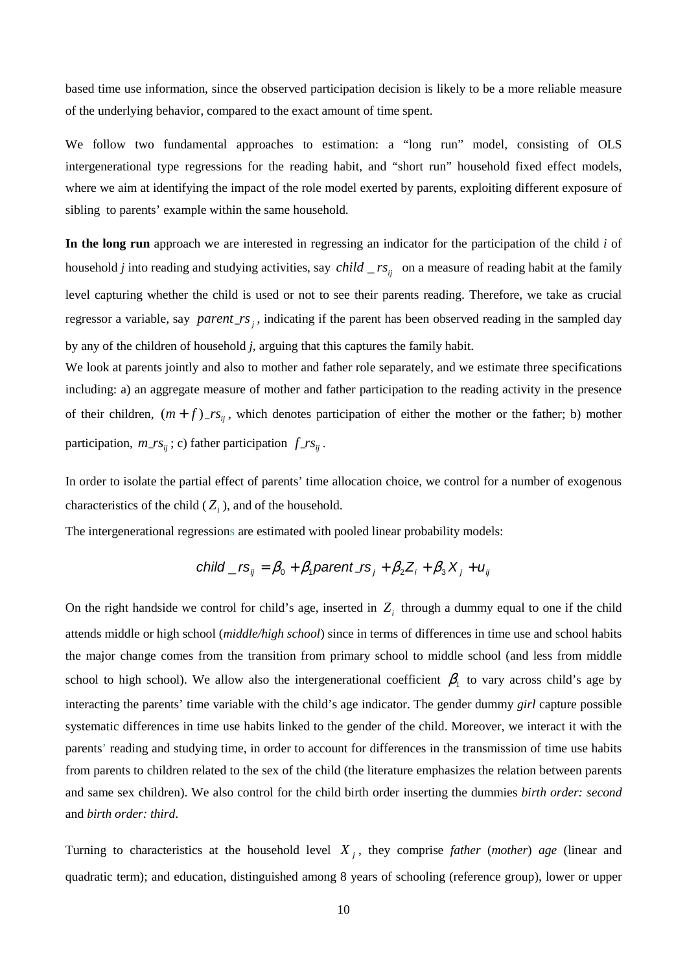based time use information, since the observed participation decision is likely to be a more reliable measure of the underlying behavior, compared to the exact amount of time spent.

We follow two fundamental approaches to estimation: a "long run" model, consisting of OLS intergenerational type regressions for the reading habit, and "short run" household fixed effect models, where we aim at identifying the impact of the role model exerted by parents, exploiting different exposure of sibling to parents' example within the same household.

**In the long run** approach we are interested in regressing an indicator for the participation of the child *i* of household *j* into reading and studying activities, say *child*  $\mathsf{r}$  *rs*<sub>*ii*</sub> on a measure of reading habit at the family level capturing whether the child is used or not to see their parents reading. Therefore, we take as crucial *regressor a variable, say parent\_rs<sub>j</sub>*, indicating if the parent has been observed reading in the sampled day by any of the children of household *j*, arguing that this captures the family habit.

We look at parents jointly and also to mother and father role separately, and we estimate three specifications including: a) an aggregate measure of mother and father participation to the reading activity in the presence of their children,  $(m+f)$ <sub>*rs*<sub>ij</sub></sub>, which denotes participation of either the mother or the father; b) mother participation,  $m_r s_{ij}$ ; c) father participation  $f_r s_{ij}$ .

In order to isolate the partial effect of parents' time allocation choice, we control for a number of exogenous characteristics of the child  $(Z_i)$ , and of the household.

The intergenerational regressions are estimated with pooled linear probability models:

child 
$$
rs_{ij} = \beta_0 + \beta_1
$$
parent  $rs_j + \beta_2 Z_i + \beta_3 X_j + u_{ij}$ 

On the right handside we control for child's age, inserted in  $Z_i$  through a dummy equal to one if the child attends middle or high school (*middle/high school*) since in terms of differences in time use and school habits the major change comes from the transition from primary school to middle school (and less from middle school to high school). We allow also the intergenerational coefficient  $\beta_1$  to vary across child's age by interacting the parents' time variable with the child's age indicator. The gender dummy *girl* capture possible systematic differences in time use habits linked to the gender of the child. Moreover, we interact it with the parents' reading and studying time, in order to account for differences in the transmission of time use habits from parents to children related to the sex of the child (the literature emphasizes the relation between parents and same sex children). We also control for the child birth order inserting the dummies *birth order: second* and *birth order: third*.

Turning to characteristics at the household level *X <sup>j</sup>* , they comprise *father* (*mother*) *age* (linear and quadratic term); and education, distinguished among 8 years of schooling (reference group), lower or upper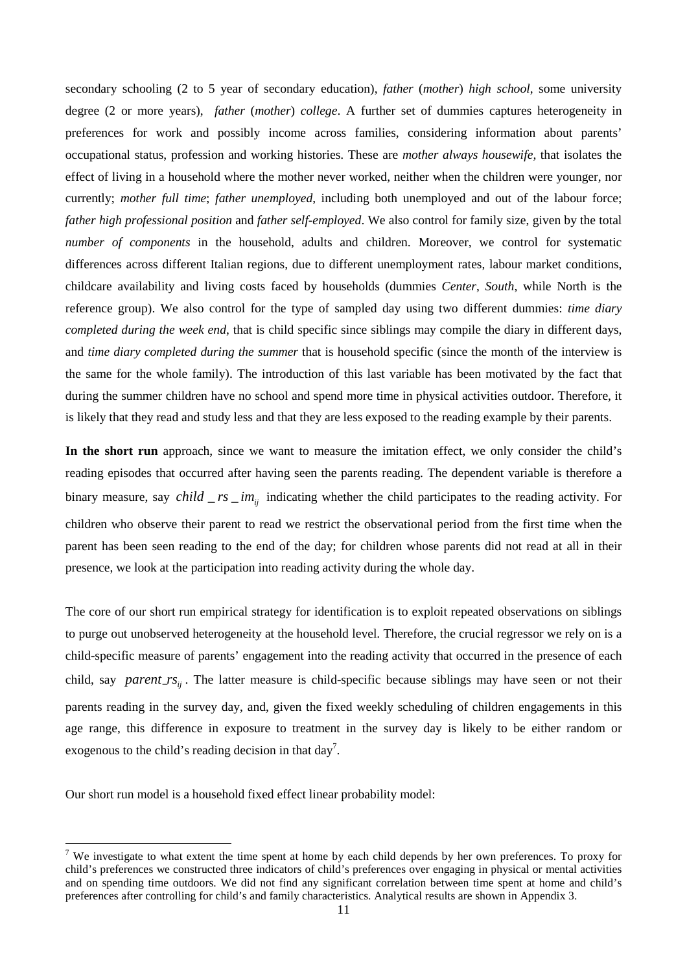secondary schooling (2 to 5 year of secondary education), *father* (*mother*) *high school*, some university degree (2 or more years), *father* (*mother*) *college*. A further set of dummies captures heterogeneity in preferences for work and possibly income across families, considering information about parents' occupational status, profession and working histories. These are *mother always housewife,* that isolates the effect of living in a household where the mother never worked, neither when the children were younger, nor currently; *mother full time*; *father unemployed*, including both unemployed and out of the labour force; *father high professional position* and *father self-employed*. We also control for family size, given by the total *number of components* in the household, adults and children. Moreover, we control for systematic differences across different Italian regions, due to different unemployment rates, labour market conditions, childcare availability and living costs faced by households (dummies *Center*, *South*, while North is the reference group). We also control for the type of sampled day using two different dummies: *time diary completed during the week end*, that is child specific since siblings may compile the diary in different days, and *time diary completed during the summer* that is household specific (since the month of the interview is the same for the whole family). The introduction of this last variable has been motivated by the fact that during the summer children have no school and spend more time in physical activities outdoor. Therefore, it is likely that they read and study less and that they are less exposed to the reading example by their parents.

**In the short run** approach, since we want to measure the imitation effect, we only consider the child's reading episodes that occurred after having seen the parents reading. The dependent variable is therefore a binary measure, say *child*  $\mathsf{r}$  *rs*  $\mathsf{r}$  *im*<sub>*ii*</sub> indicating whether the child participates to the reading activity. For children who observe their parent to read we restrict the observational period from the first time when the parent has been seen reading to the end of the day; for children whose parents did not read at all in their presence, we look at the participation into reading activity during the whole day.

The core of our short run empirical strategy for identification is to exploit repeated observations on siblings to purge out unobserved heterogeneity at the household level. Therefore, the crucial regressor we rely on is a child-specific measure of parents' engagement into the reading activity that occurred in the presence of each child, say *parent\_rs*<sub>ij</sub>. The latter measure is child-specific because siblings may have seen or not their parents reading in the survey day, and, given the fixed weekly scheduling of children engagements in this age range, this difference in exposure to treatment in the survey day is likely to be either random or exogenous to the child's reading decision in that day<sup>7</sup>.

Our short run model is a household fixed effect linear probability model:

l

<sup>&</sup>lt;sup>7</sup> We investigate to what extent the time spent at home by each child depends by her own preferences. To proxy for child's preferences we constructed three indicators of child's preferences over engaging in physical or mental activities and on spending time outdoors. We did not find any significant correlation between time spent at home and child's preferences after controlling for child's and family characteristics. Analytical results are shown in Appendix 3.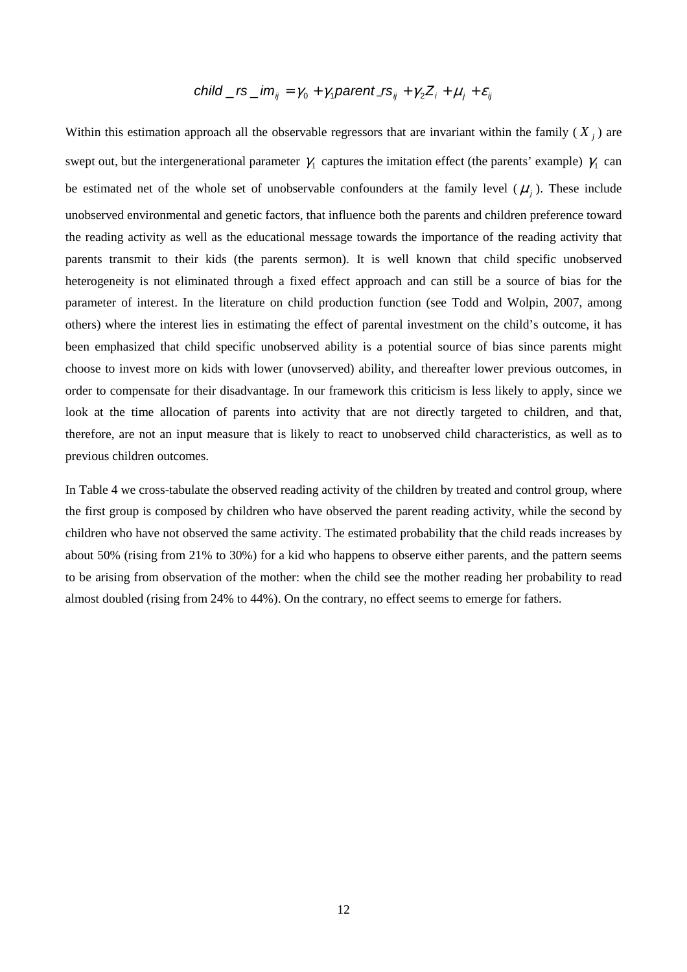### child \_ rs \_ im  $_i = \gamma_0 + \gamma_1$  parent \_ rs  $_{ii} + \gamma_2 Z_i + \mu_i + \varepsilon_{ii}$

Within this estimation approach all the observable regressors that are invariant within the family  $(X_j)$  are swept out, but the intergenerational parameter  $\gamma_1$  captures the imitation effect (the parents' example)  $\gamma_1$  can be estimated net of the whole set of unobservable confounders at the family level  $(\mu_j)$ . These include unobserved environmental and genetic factors, that influence both the parents and children preference toward the reading activity as well as the educational message towards the importance of the reading activity that parents transmit to their kids (the parents sermon). It is well known that child specific unobserved heterogeneity is not eliminated through a fixed effect approach and can still be a source of bias for the parameter of interest. In the literature on child production function (see Todd and Wolpin, 2007, among others) where the interest lies in estimating the effect of parental investment on the child's outcome, it has been emphasized that child specific unobserved ability is a potential source of bias since parents might choose to invest more on kids with lower (unovserved) ability, and thereafter lower previous outcomes, in order to compensate for their disadvantage. In our framework this criticism is less likely to apply, since we look at the time allocation of parents into activity that are not directly targeted to children, and that, therefore, are not an input measure that is likely to react to unobserved child characteristics, as well as to previous children outcomes.

In Table 4 we cross-tabulate the observed reading activity of the children by treated and control group, where the first group is composed by children who have observed the parent reading activity, while the second by children who have not observed the same activity. The estimated probability that the child reads increases by about 50% (rising from 21% to 30%) for a kid who happens to observe either parents, and the pattern seems to be arising from observation of the mother: when the child see the mother reading her probability to read almost doubled (rising from 24% to 44%). On the contrary, no effect seems to emerge for fathers.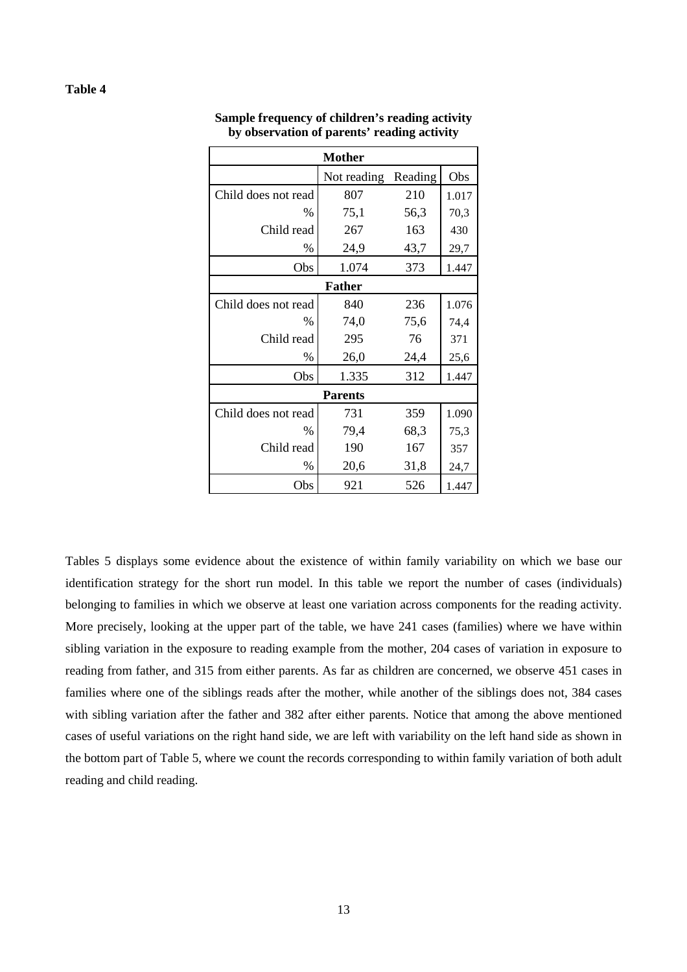| <b>Mother</b>       |                |         |       |  |  |  |  |
|---------------------|----------------|---------|-------|--|--|--|--|
|                     | Not reading    | Reading | Obs   |  |  |  |  |
| Child does not read | 807            | 210     | 1.017 |  |  |  |  |
| %                   | 75,1           | 56,3    | 70,3  |  |  |  |  |
| Child read          | 267            | 163     | 430   |  |  |  |  |
| %                   | 24,9           | 43,7    | 29,7  |  |  |  |  |
| Obs                 | 1.074          | 373     | 1.447 |  |  |  |  |
| <b>Father</b>       |                |         |       |  |  |  |  |
| Child does not read | 840            | 236     | 1.076 |  |  |  |  |
| $\%$                | 74,0           | 75,6    | 74,4  |  |  |  |  |
| Child read          | 295            | 76      | 371   |  |  |  |  |
| $\%$                | 26,0           | 24,4    | 25,6  |  |  |  |  |
| Obs                 | 1.335          | 312     | 1.447 |  |  |  |  |
|                     | <b>Parents</b> |         |       |  |  |  |  |
| Child does not read | 731            | 359     | 1.090 |  |  |  |  |
| $\%$                | 79,4           | 68,3    | 75,3  |  |  |  |  |
| Child read          | 190            | 167     | 357   |  |  |  |  |
| $\%$                | 20,6           | 31,8    | 24,7  |  |  |  |  |
| Obs                 | 921            | 526     | 1.447 |  |  |  |  |

**Sample frequency of children's reading activity by observation of parents' reading activity** 

Tables 5 displays some evidence about the existence of within family variability on which we base our identification strategy for the short run model. In this table we report the number of cases (individuals) belonging to families in which we observe at least one variation across components for the reading activity. More precisely, looking at the upper part of the table, we have 241 cases (families) where we have within sibling variation in the exposure to reading example from the mother, 204 cases of variation in exposure to reading from father, and 315 from either parents. As far as children are concerned, we observe 451 cases in families where one of the siblings reads after the mother, while another of the siblings does not, 384 cases with sibling variation after the father and 382 after either parents. Notice that among the above mentioned cases of useful variations on the right hand side, we are left with variability on the left hand side as shown in the bottom part of Table 5, where we count the records corresponding to within family variation of both adult reading and child reading.

#### **Table 4**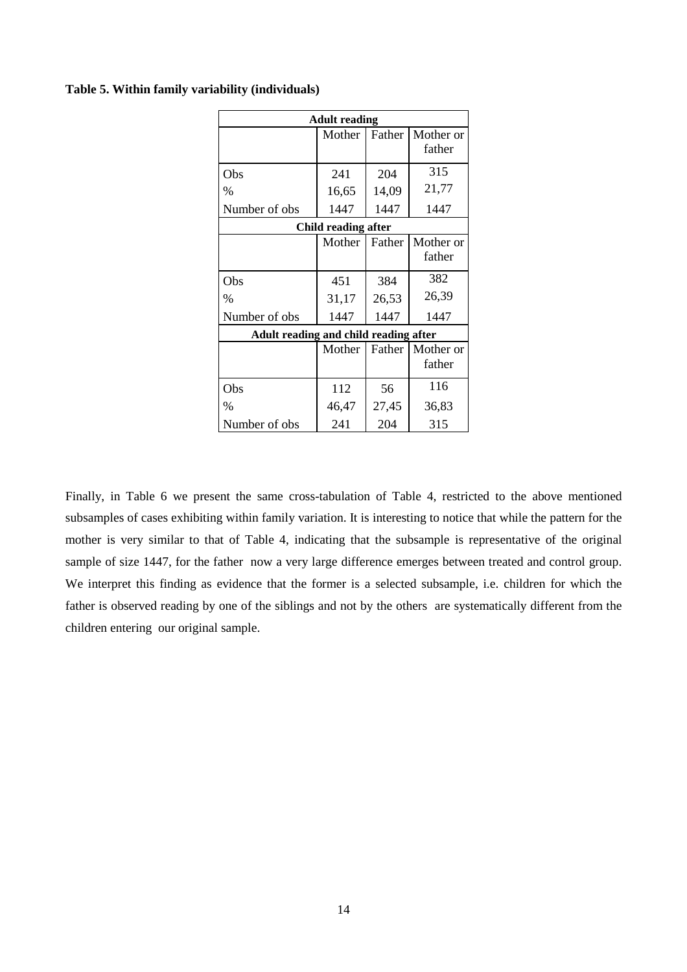#### **Table 5. Within family variability (individuals)**

| <b>Adult reading</b>                  |                     |        |                              |  |  |
|---------------------------------------|---------------------|--------|------------------------------|--|--|
|                                       | Mother              | Father | Mother or<br>father          |  |  |
| Obs                                   | 241                 | 204    | 315                          |  |  |
| $\%$                                  | 16,65               | 14,09  | 21,77                        |  |  |
| Number of obs                         | 1447                | 1447   | 1447                         |  |  |
|                                       | Child reading after |        |                              |  |  |
|                                       | Mother              | Father | Mother or<br>father          |  |  |
| Obs                                   | 451                 | 384    | 382                          |  |  |
| $\%$                                  | 31,17               | 26,53  | 26,39                        |  |  |
| Number of obs                         | 1447                | 1447   | 1447                         |  |  |
| Adult reading and child reading after |                     |        |                              |  |  |
|                                       | Mother              |        | Father   Mother or<br>father |  |  |
| Obs                                   | 112                 | 56     | 116                          |  |  |
| $\%$                                  | 46,47               | 27,45  | 36,83                        |  |  |
| Number of obs                         | 241                 | 204    | 315                          |  |  |

Finally, in Table 6 we present the same cross-tabulation of Table 4, restricted to the above mentioned subsamples of cases exhibiting within family variation. It is interesting to notice that while the pattern for the mother is very similar to that of Table 4, indicating that the subsample is representative of the original sample of size 1447, for the father now a very large difference emerges between treated and control group. We interpret this finding as evidence that the former is a selected subsample, i.e. children for which the father is observed reading by one of the siblings and not by the others are systematically different from the children entering our original sample.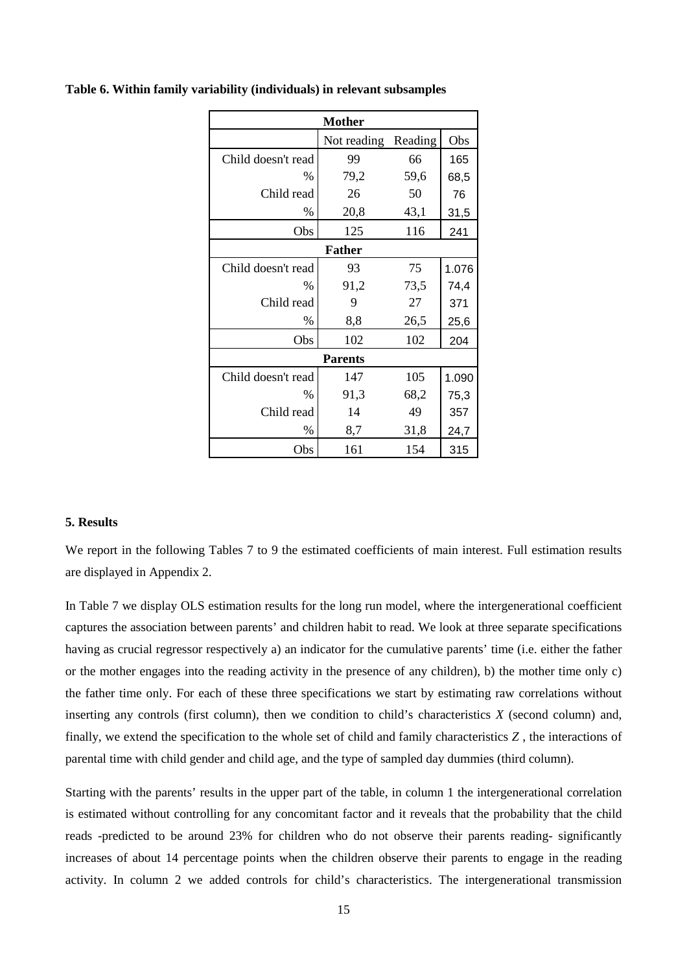|                    | Mother         |         |       |  |  |  |  |
|--------------------|----------------|---------|-------|--|--|--|--|
|                    | Not reading    | Reading | Obs   |  |  |  |  |
| Child doesn't read | 99             | 66      | 165   |  |  |  |  |
| $\%$               | 79,2           | 59,6    | 68,5  |  |  |  |  |
| Child read         | 26             | 50      | 76    |  |  |  |  |
| $\%$               | 20,8           | 43,1    | 31,5  |  |  |  |  |
| Obs                | 125            | 116     | 241   |  |  |  |  |
|                    | <b>Father</b>  |         |       |  |  |  |  |
| Child doesn't read | 93             | 75      | 1.076 |  |  |  |  |
| $\%$               | 91,2           | 73,5    | 74,4  |  |  |  |  |
| Child read         | 9              | 27      | 371   |  |  |  |  |
| $\%$               | 8,8            | 26,5    | 25,6  |  |  |  |  |
| Obs                | 102            | 102     | 204   |  |  |  |  |
|                    | <b>Parents</b> |         |       |  |  |  |  |
| Child doesn't read | 147            | 105     | 1.090 |  |  |  |  |
| $\%$               | 91,3           | 68,2    | 75,3  |  |  |  |  |
| Child read         | 14             | 49      | 357   |  |  |  |  |
| $\%$               | 8,7            | 31,8    | 24,7  |  |  |  |  |
| Obs                | 161            | 154     | 315   |  |  |  |  |

#### **Table 6. Within family variability (individuals) in relevant subsamples**

#### **5. Results**

We report in the following Tables 7 to 9 the estimated coefficients of main interest. Full estimation results are displayed in Appendix 2.

In Table 7 we display OLS estimation results for the long run model, where the intergenerational coefficient captures the association between parents' and children habit to read. We look at three separate specifications having as crucial regressor respectively a) an indicator for the cumulative parents' time (i.e. either the father or the mother engages into the reading activity in the presence of any children), b) the mother time only c) the father time only. For each of these three specifications we start by estimating raw correlations without inserting any controls (first column), then we condition to child's characteristics  $X$  (second column) and, finally, we extend the specification to the whole set of child and family characteristics *Z* , the interactions of parental time with child gender and child age, and the type of sampled day dummies (third column).

Starting with the parents' results in the upper part of the table, in column 1 the intergenerational correlation is estimated without controlling for any concomitant factor and it reveals that the probability that the child reads -predicted to be around 23% for children who do not observe their parents reading- significantly increases of about 14 percentage points when the children observe their parents to engage in the reading activity. In column 2 we added controls for child's characteristics. The intergenerational transmission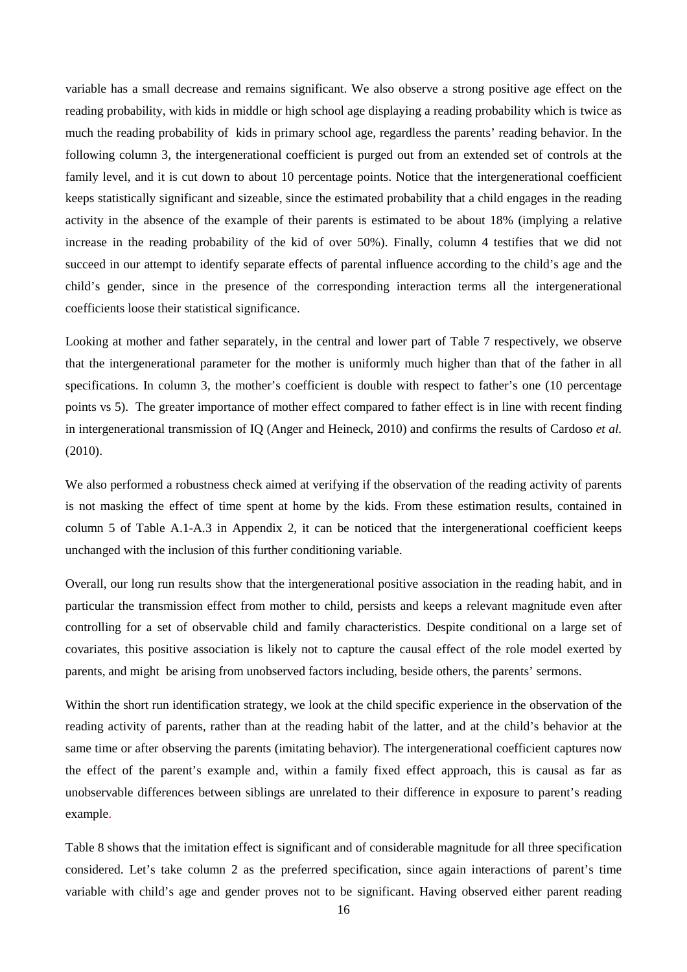variable has a small decrease and remains significant. We also observe a strong positive age effect on the reading probability, with kids in middle or high school age displaying a reading probability which is twice as much the reading probability of kids in primary school age, regardless the parents' reading behavior. In the following column 3, the intergenerational coefficient is purged out from an extended set of controls at the family level, and it is cut down to about 10 percentage points. Notice that the intergenerational coefficient keeps statistically significant and sizeable, since the estimated probability that a child engages in the reading activity in the absence of the example of their parents is estimated to be about 18% (implying a relative increase in the reading probability of the kid of over 50%). Finally, column 4 testifies that we did not succeed in our attempt to identify separate effects of parental influence according to the child's age and the child's gender, since in the presence of the corresponding interaction terms all the intergenerational coefficients loose their statistical significance.

Looking at mother and father separately, in the central and lower part of Table 7 respectively, we observe that the intergenerational parameter for the mother is uniformly much higher than that of the father in all specifications. In column 3, the mother's coefficient is double with respect to father's one (10 percentage) points vs 5). The greater importance of mother effect compared to father effect is in line with recent finding in intergenerational transmission of IQ (Anger and Heineck, 2010) and confirms the results of Cardoso *et al.* (2010).

We also performed a robustness check aimed at verifying if the observation of the reading activity of parents is not masking the effect of time spent at home by the kids. From these estimation results, contained in column 5 of Table A.1-A.3 in Appendix 2, it can be noticed that the intergenerational coefficient keeps unchanged with the inclusion of this further conditioning variable.

Overall, our long run results show that the intergenerational positive association in the reading habit, and in particular the transmission effect from mother to child, persists and keeps a relevant magnitude even after controlling for a set of observable child and family characteristics. Despite conditional on a large set of covariates, this positive association is likely not to capture the causal effect of the role model exerted by parents, and might be arising from unobserved factors including, beside others, the parents' sermons.

Within the short run identification strategy, we look at the child specific experience in the observation of the reading activity of parents, rather than at the reading habit of the latter, and at the child's behavior at the same time or after observing the parents (imitating behavior). The intergenerational coefficient captures now the effect of the parent's example and, within a family fixed effect approach, this is causal as far as unobservable differences between siblings are unrelated to their difference in exposure to parent's reading example.

Table 8 shows that the imitation effect is significant and of considerable magnitude for all three specification considered. Let's take column 2 as the preferred specification, since again interactions of parent's time variable with child's age and gender proves not to be significant. Having observed either parent reading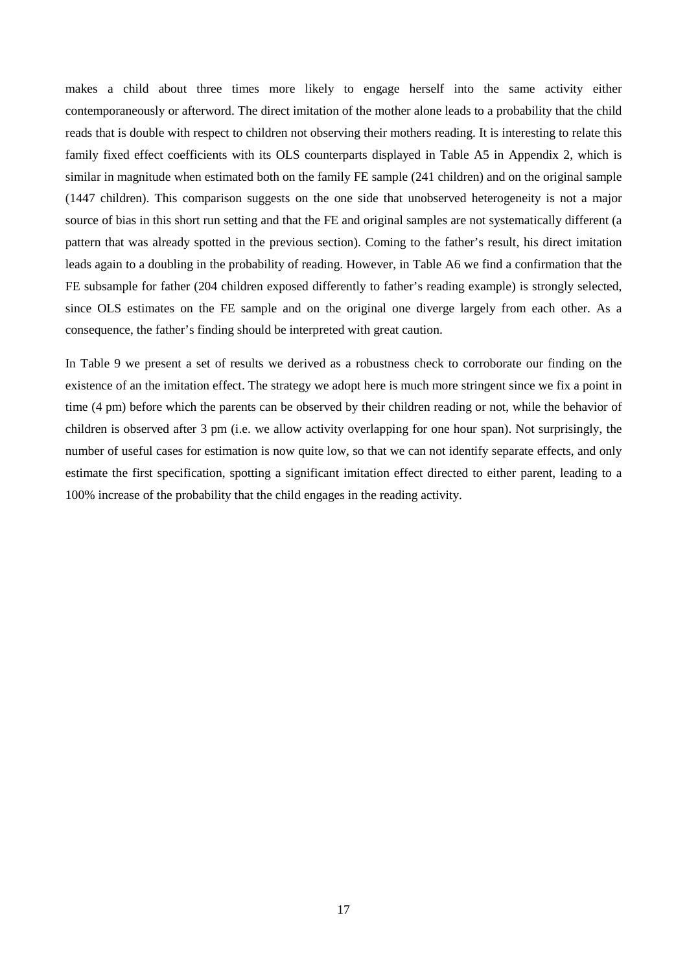makes a child about three times more likely to engage herself into the same activity either contemporaneously or afterword. The direct imitation of the mother alone leads to a probability that the child reads that is double with respect to children not observing their mothers reading. It is interesting to relate this family fixed effect coefficients with its OLS counterparts displayed in Table A5 in Appendix 2, which is similar in magnitude when estimated both on the family FE sample (241 children) and on the original sample (1447 children). This comparison suggests on the one side that unobserved heterogeneity is not a major source of bias in this short run setting and that the FE and original samples are not systematically different (a pattern that was already spotted in the previous section). Coming to the father's result, his direct imitation leads again to a doubling in the probability of reading. However, in Table A6 we find a confirmation that the FE subsample for father (204 children exposed differently to father's reading example) is strongly selected, since OLS estimates on the FE sample and on the original one diverge largely from each other. As a consequence, the father's finding should be interpreted with great caution.

In Table 9 we present a set of results we derived as a robustness check to corroborate our finding on the existence of an the imitation effect. The strategy we adopt here is much more stringent since we fix a point in time (4 pm) before which the parents can be observed by their children reading or not, while the behavior of children is observed after 3 pm (i.e. we allow activity overlapping for one hour span). Not surprisingly, the number of useful cases for estimation is now quite low, so that we can not identify separate effects, and only estimate the first specification, spotting a significant imitation effect directed to either parent, leading to a 100% increase of the probability that the child engages in the reading activity.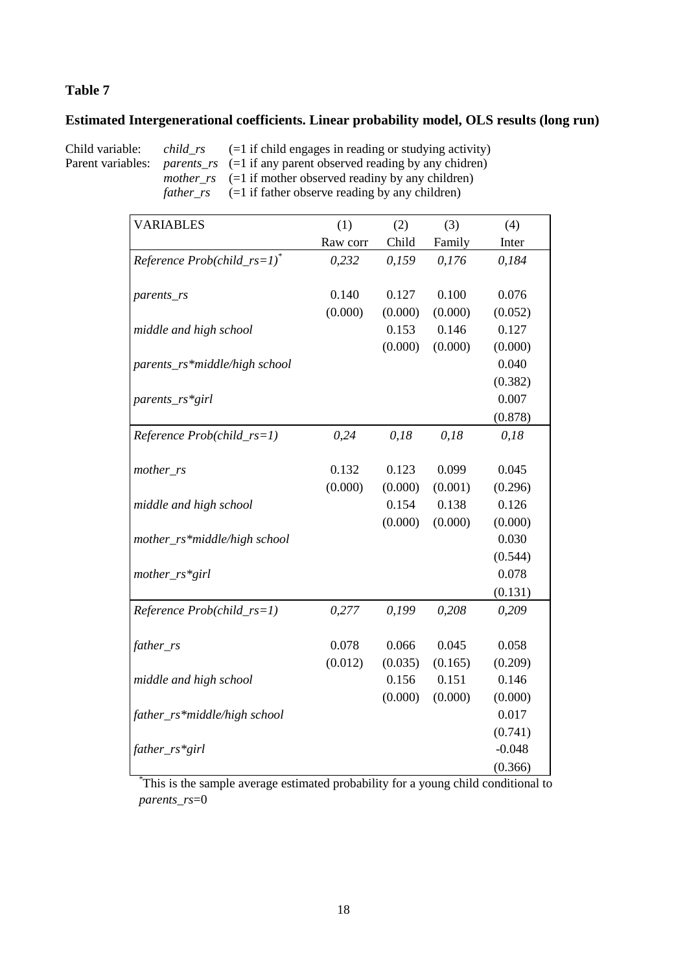#### **Estimated Intergenerational coefficients. Linear probability model, OLS results (long run)**

Child variable: *child\_rs* (=1 if child engages in reading or studying activity)<br>Parent variables: *parents\_rs* (=1 if any parent observed reading by any chidren) parents\_rs (=1 if any parent observed reading by any chidren)  $mother\_rs$  (=1 if mother observed reading by any children) *father\_rs* (=1 if father observe reading by any children)

| <b>VARIABLES</b>                | (1)      | (2)     | (3)     | (4)      |
|---------------------------------|----------|---------|---------|----------|
|                                 | Raw corr | Child   | Family  | Inter    |
| Reference $Prob(child\_rs=1)^*$ | 0,232    | 0,159   | 0,176   | 0,184    |
|                                 |          |         |         |          |
| parents_rs                      | 0.140    | 0.127   | 0.100   | 0.076    |
|                                 | (0.000)  | (0.000) | (0.000) | (0.052)  |
| middle and high school          |          | 0.153   | 0.146   | 0.127    |
|                                 |          | (0.000) | (0.000) | (0.000)  |
| parents_rs*middle/high school   |          |         |         | 0.040    |
|                                 |          |         |         | (0.382)  |
| parents_rs*girl                 |          |         |         | 0.007    |
|                                 |          |         |         | (0.878)  |
| Reference Prob(child_rs=1)      | 0,24     | 0,18    | 0,18    | 0,18     |
|                                 |          |         |         |          |
| mother_rs                       | 0.132    | 0.123   | 0.099   | 0.045    |
|                                 | (0.000)  | (0.000) | (0.001) | (0.296)  |
| middle and high school          |          | 0.154   | 0.138   | 0.126    |
|                                 |          | (0.000) | (0.000) | (0.000)  |
| mother_rs*middle/high school    |          |         |         | 0.030    |
|                                 |          |         |         | (0.544)  |
| mother_rs*girl                  |          |         |         | 0.078    |
|                                 |          |         |         | (0.131)  |
| Reference Prob(child_rs=1)      | 0,277    | 0,199   | 0,208   | 0,209    |
|                                 |          |         |         |          |
| father_rs                       | 0.078    | 0.066   | 0.045   | 0.058    |
|                                 | (0.012)  | (0.035) | (0.165) | (0.209)  |
| middle and high school          |          | 0.156   | 0.151   | 0.146    |
|                                 |          | (0.000) | (0.000) | (0.000)  |
| father_rs*middle/high school    |          |         |         | 0.017    |
|                                 |          |         |         | (0.741)  |
| father_rs*girl                  |          |         |         | $-0.048$ |
|                                 |          |         |         | (0.366)  |

\*This is the sample average estimated probability for a young child conditional to *parents\_rs*=0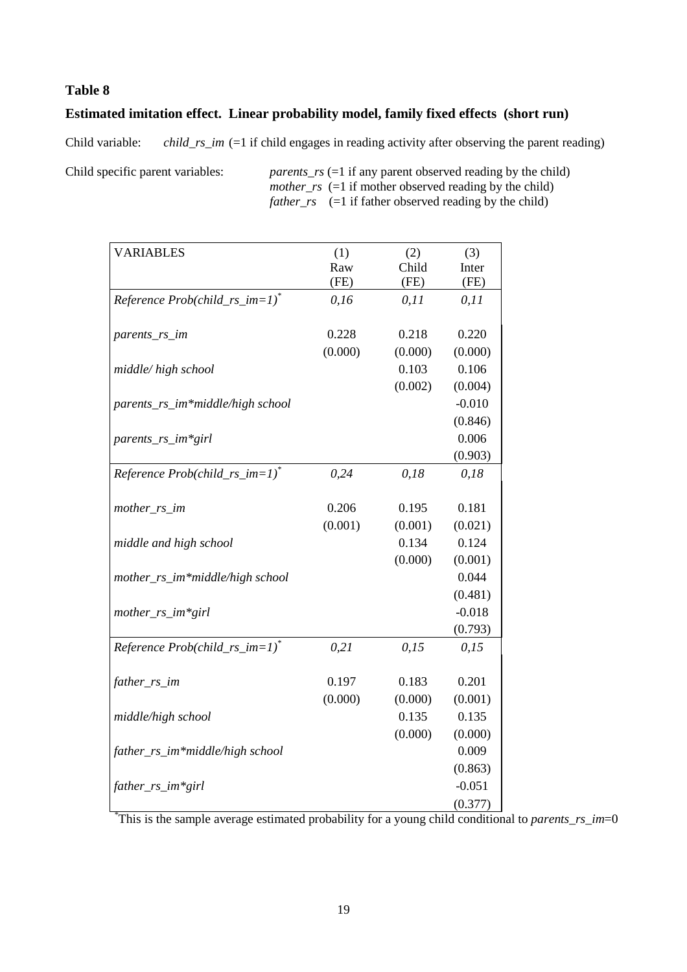### **Estimated imitation effect. Linear probability model, family fixed effects (short run)**

Child variable: *child\_rs\_im* (=1 if child engages in reading activity after observing the parent reading)

Child specific parent variables: *parents\_rs* (=1 if any parent observed reading by the child) *mother rs* (=1 if mother observed reading by the child) *father*  $rs$  (=1 if father observed reading by the child)

| <b>VARIABLES</b>                    | (1)     | (2)     | (3)      |
|-------------------------------------|---------|---------|----------|
|                                     | Raw     | Child   | Inter    |
|                                     | (FE)    | (FE)    | (FE)     |
| Reference $Prob(child\_rs\_im=1)^*$ | 0,16    | 0, 11   | 0, 11    |
|                                     |         |         |          |
| parents_rs_im                       | 0.228   | 0.218   | 0.220    |
|                                     | (0.000) | (0.000) | (0.000)  |
| middle/high school                  |         | 0.103   | 0.106    |
|                                     |         | (0.002) | (0.004)  |
| parents_rs_im*middle/high school    |         |         | $-0.010$ |
|                                     |         |         | (0.846)  |
| parents_rs_im*girl                  |         |         | 0.006    |
|                                     |         |         | (0.903)  |
| Reference $Prob(child\_rs\_im=1)^*$ | 0,24    | 0,18    | 0,18     |
|                                     |         |         |          |
| mother_rs_im                        | 0.206   | 0.195   | 0.181    |
|                                     | (0.001) | (0.001) | (0.021)  |
| middle and high school              |         | 0.134   | 0.124    |
|                                     |         | (0.000) | (0.001)  |
| mother_rs_im*middle/high school     |         |         | 0.044    |
|                                     |         |         | (0.481)  |
| mother_rs_im*girl                   |         |         | $-0.018$ |
|                                     |         |         | (0.793)  |
| Reference $Prob(child\_rs\_im=1)^*$ | 0,21    | 0,15    | 0,15     |
|                                     |         |         |          |
| father_rs_im                        | 0.197   | 0.183   | 0.201    |
|                                     | (0.000) | (0.000) | (0.001)  |
| middle/high school                  |         | 0.135   | 0.135    |
|                                     |         | (0.000) | (0.000)  |
| father_rs_im*middle/high school     |         |         | 0.009    |
|                                     |         |         | (0.863)  |
| father_rs_im*girl                   |         |         | $-0.051$ |
|                                     |         |         | (0.377)  |

This is the sample average estimated probability for a young child conditional to *parents rs im*=0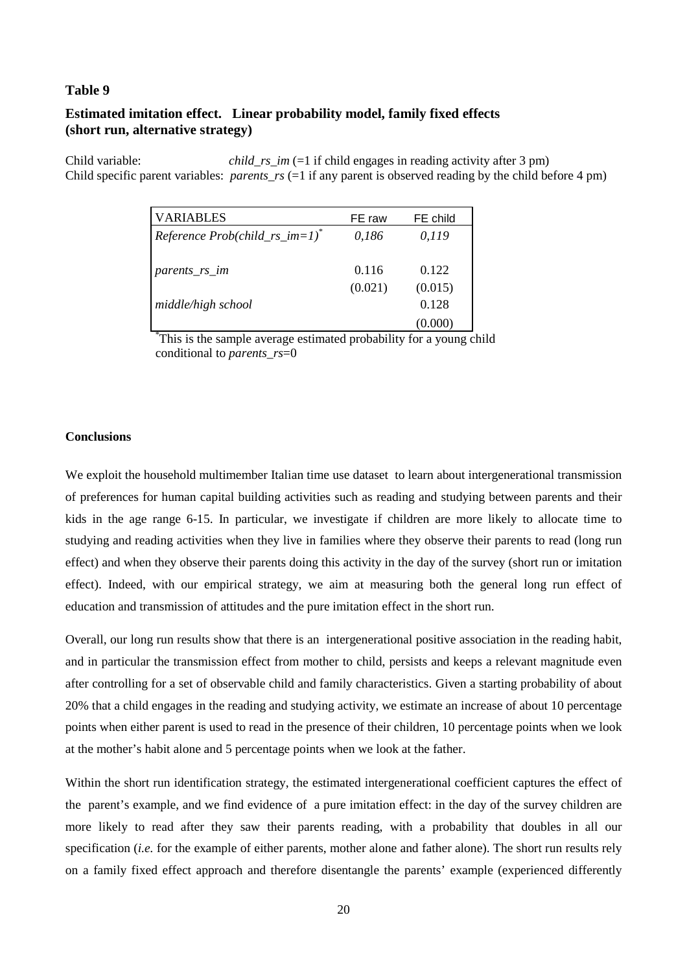#### **Estimated imitation effect. Linear probability model, family fixed effects (short run, alternative strategy)**

Child variable: *child\_rs\_im* (=1 if child engages in reading activity after 3 pm) Child specific parent variables: *parents*  $rs$  (=1 if any parent is observed reading by the child before 4 pm)

| <b>VARIABLES</b>                    | FE raw  | FE child |  |
|-------------------------------------|---------|----------|--|
| Reference $Prob(child\_rs\_im=1)^*$ | 0,186   | 0,119    |  |
|                                     |         |          |  |
| parents_rs_im                       | 0.116   | 0.122    |  |
|                                     | (0.021) | (0.015)  |  |
| middle/high school                  |         | 0.128    |  |
|                                     |         | (0.000)  |  |

\*This is the sample average estimated probability for a young child conditional to *parents\_rs*=0

#### **Conclusions**

We exploit the household multimember Italian time use dataset to learn about intergenerational transmission of preferences for human capital building activities such as reading and studying between parents and their kids in the age range 6-15. In particular, we investigate if children are more likely to allocate time to studying and reading activities when they live in families where they observe their parents to read (long run effect) and when they observe their parents doing this activity in the day of the survey (short run or imitation effect). Indeed, with our empirical strategy, we aim at measuring both the general long run effect of education and transmission of attitudes and the pure imitation effect in the short run.

Overall, our long run results show that there is an intergenerational positive association in the reading habit, and in particular the transmission effect from mother to child, persists and keeps a relevant magnitude even after controlling for a set of observable child and family characteristics. Given a starting probability of about 20% that a child engages in the reading and studying activity, we estimate an increase of about 10 percentage points when either parent is used to read in the presence of their children, 10 percentage points when we look at the mother's habit alone and 5 percentage points when we look at the father.

Within the short run identification strategy, the estimated intergenerational coefficient captures the effect of the parent's example, and we find evidence of a pure imitation effect: in the day of the survey children are more likely to read after they saw their parents reading, with a probability that doubles in all our specification *(i.e.* for the example of either parents, mother alone and father alone). The short run results rely on a family fixed effect approach and therefore disentangle the parents' example (experienced differently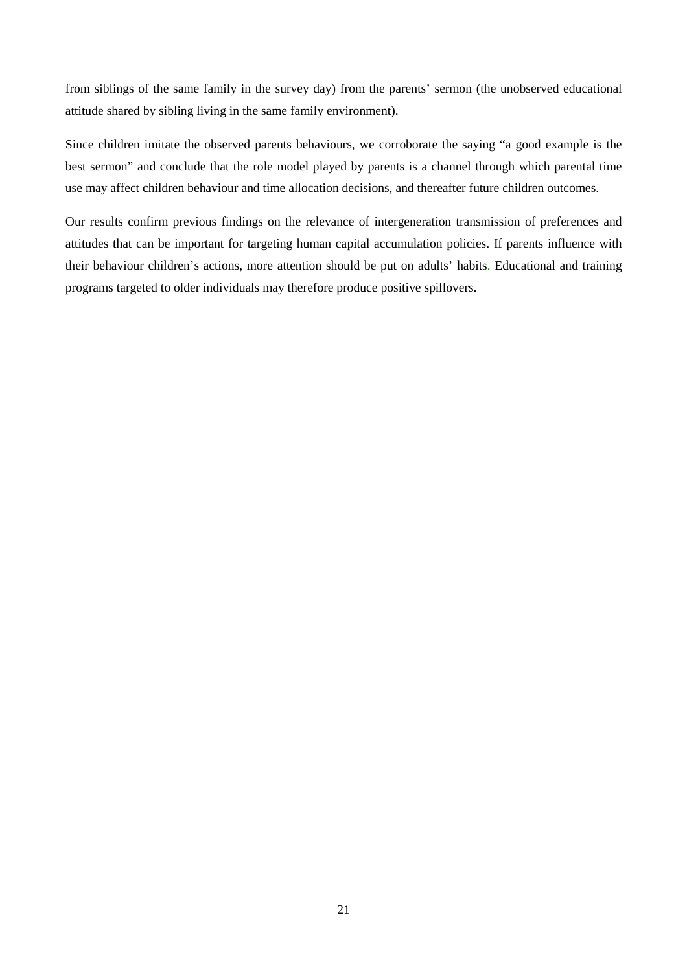from siblings of the same family in the survey day) from the parents' sermon (the unobserved educational attitude shared by sibling living in the same family environment).

Since children imitate the observed parents behaviours, we corroborate the saying "a good example is the best sermon" and conclude that the role model played by parents is a channel through which parental time use may affect children behaviour and time allocation decisions, and thereafter future children outcomes.

Our results confirm previous findings on the relevance of intergeneration transmission of preferences and attitudes that can be important for targeting human capital accumulation policies. If parents influence with their behaviour children's actions, more attention should be put on adults' habits. Educational and training programs targeted to older individuals may therefore produce positive spillovers.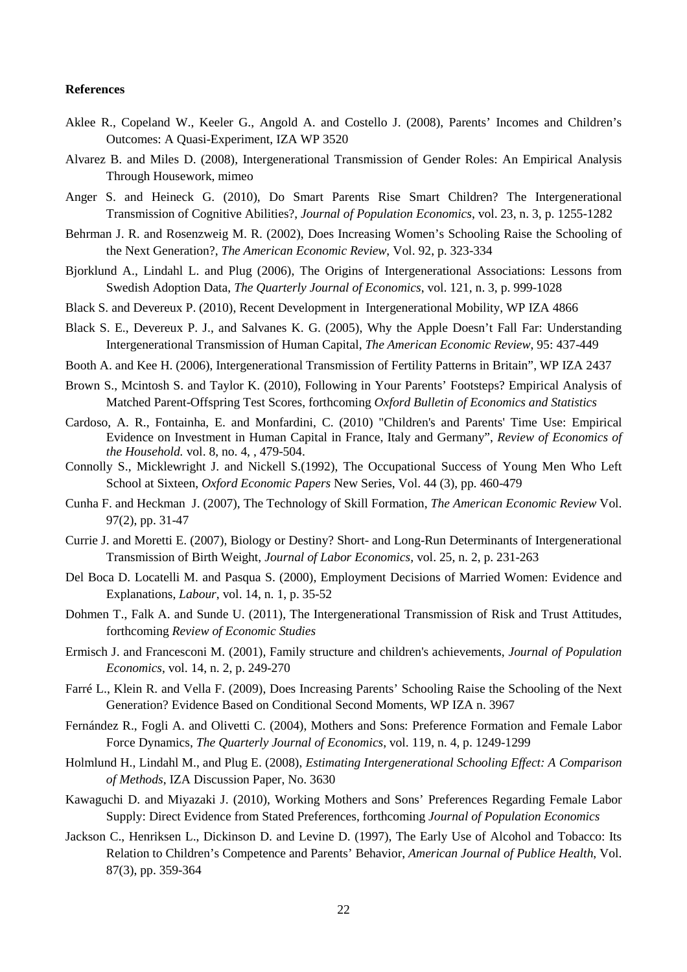#### **References**

- Aklee R., Copeland W., Keeler G., Angold A. and Costello J. (2008), Parents' Incomes and Children's Outcomes: A Quasi-Experiment, IZA WP 3520
- Alvarez B. and Miles D. (2008), Intergenerational Transmission of Gender Roles: An Empirical Analysis Through Housework, mimeo
- Anger S. and Heineck G. (2010), Do Smart Parents Rise Smart Children? The Intergenerational Transmission of Cognitive Abilities?, *Journal of Population Economics*, vol. 23, n. 3, p. 1255-1282
- Behrman J. R. and Rosenzweig M. R. (2002), Does Increasing Women's Schooling Raise the Schooling of the Next Generation?, *The American Economic Review*, Vol. 92, p. 323-334
- Bjorklund A., Lindahl L. and Plug (2006), The Origins of Intergenerational Associations: Lessons from Swedish Adoption Data, *The Quarterly Journal of Economics*, vol. 121, n. 3, p. 999-1028
- Black S. and Devereux P. (2010), Recent Development in Intergenerational Mobility, WP IZA 4866
- Black S. E., Devereux P. J., and Salvanes K. G. (2005), Why the Apple Doesn't Fall Far: Understanding Intergenerational Transmission of Human Capital, *The American Economic Review*, 95: 437-449
- Booth A. and Kee H. (2006), Intergenerational Transmission of Fertility Patterns in Britain", WP IZA 2437
- Brown S., Mcintosh S. and Taylor K. (2010), Following in Your Parents' Footsteps? Empirical Analysis of Matched Parent-Offspring Test Scores, forthcoming *Oxford Bulletin of Economics and Statistics*
- Cardoso, A. R., Fontainha, E. and Monfardini, C. (2010) "Children's and Parents' Time Use: Empirical Evidence on Investment in Human Capital in France, Italy and Germany", *Review of Economics of the Household.* vol. 8, no. 4, , 479-504.
- Connolly S., Micklewright J. and Nickell S.(1992), The Occupational Success of Young Men Who Left School at Sixteen, *Oxford Economic Papers* New Series, Vol. 44 (3), pp. 460-479
- Cunha F. and Heckman J. (2007), The Technology of Skill Formation, *The American Economic Review* Vol. 97(2), pp. 31-47
- Currie J. and Moretti E. (2007), Biology or Destiny? Short- and Long-Run Determinants of Intergenerational Transmission of Birth Weight, *Journal of Labor Economics,* vol. 25, n. 2, p. 231-263
- Del Boca D. Locatelli M. and Pasqua S. (2000), Employment Decisions of Married Women: Evidence and Explanations, *Labour*, vol. 14, n. 1, p. 35-52
- Dohmen T., Falk A. and Sunde U. (2011), The Intergenerational Transmission of Risk and Trust Attitudes, forthcoming *Review of Economic Studies*
- Ermisch J. and Francesconi M. (2001), Family structure and children's achievements, *Journal of Population Economics*, vol. 14, n. 2, p. 249-270
- Farré L., Klein R. and Vella F. (2009), Does Increasing Parents' Schooling Raise the Schooling of the Next Generation? Evidence Based on Conditional Second Moments, WP IZA n. 3967
- Fernández R., Fogli A. and Olivetti C. (2004), Mothers and Sons: Preference Formation and Female Labor Force Dynamics, *The Quarterly Journal of Economics*, vol. 119, n. 4, p. 1249-1299
- Holmlund H., Lindahl M., and Plug E. (2008), *Estimating Intergenerational Schooling Effect: A Comparison of Methods*, IZA Discussion Paper, No. 3630
- Kawaguchi D. and Miyazaki J. (2010), Working Mothers and Sons' Preferences Regarding Female Labor Supply: Direct Evidence from Stated Preferences, forthcoming *Journal of Population Economics*
- Jackson C., Henriksen L., Dickinson D. and Levine D. (1997), The Early Use of Alcohol and Tobacco: Its Relation to Children's Competence and Parents' Behavior, *American Journal of Publice Health*, Vol. 87(3), pp. 359-364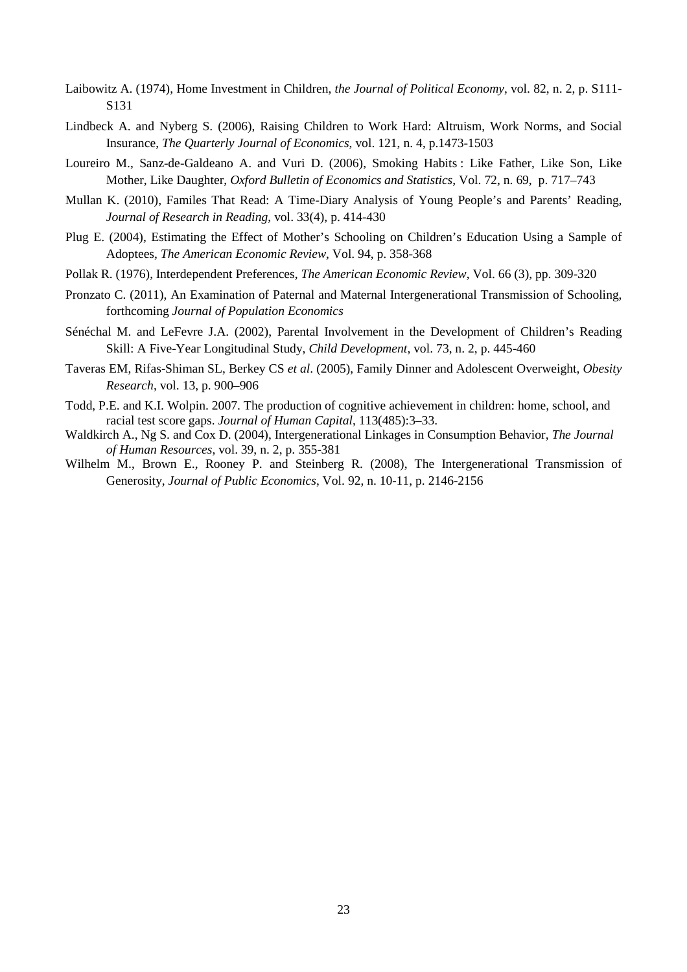- Laibowitz A. (1974), Home Investment in Children, *the Journal of Political Economy*, vol. 82, n. 2, p. S111- S131
- Lindbeck A. and Nyberg S. (2006), Raising Children to Work Hard: Altruism, Work Norms, and Social Insurance, *The Quarterly Journal of Economics*, vol. 121, n. 4, p.1473-1503
- Loureiro M., Sanz-de-Galdeano A. and Vuri D. (2006), Smoking Habits : Like Father, Like Son, Like Mother, Like Daughter, *Oxford Bulletin of Economics and Statistics*, Vol. 72, n. 69, p. 717–743
- Mullan K. (2010), Familes That Read: A Time-Diary Analysis of Young People's and Parents' Reading, *Journal of Research in Reading*, vol. 33(4), p. 414-430
- Plug E. (2004), Estimating the Effect of Mother's Schooling on Children's Education Using a Sample of Adoptees, *The American Economic Review*, Vol. 94, p. 358-368
- Pollak R. (1976), Interdependent Preferences, *The American Economic Review*, Vol. 66 (3), pp. 309-320
- Pronzato C. (2011), An Examination of Paternal and Maternal Intergenerational Transmission of Schooling, forthcoming *Journal of Population Economics*
- Sénéchal M. and LeFevre J.A. (2002), Parental Involvement in the Development of Children's Reading Skill: A Five-Year Longitudinal Study, *Child Development*, vol. 73, n. 2, p. 445-460
- Taveras EM, Rifas-Shiman SL, Berkey CS *et al*. (2005), Family Dinner and Adolescent Overweight, *Obesity Research*, vol. 13, p. 900–906
- Todd, P.E. and K.I. Wolpin. 2007. The production of cognitive achievement in children: home, school, and racial test score gaps. *Journal of Human Capital*, 113(485):3–33.
- Waldkirch A., Ng S. and Cox D. (2004), Intergenerational Linkages in Consumption Behavior, *The Journal of Human Resources*, vol. 39, n. 2, p. 355-381
- Wilhelm M., Brown E., Rooney P. and Steinberg R. (2008), The Intergenerational Transmission of Generosity, *Journal of Public Economics*, Vol. 92, n. 10-11, p. 2146-2156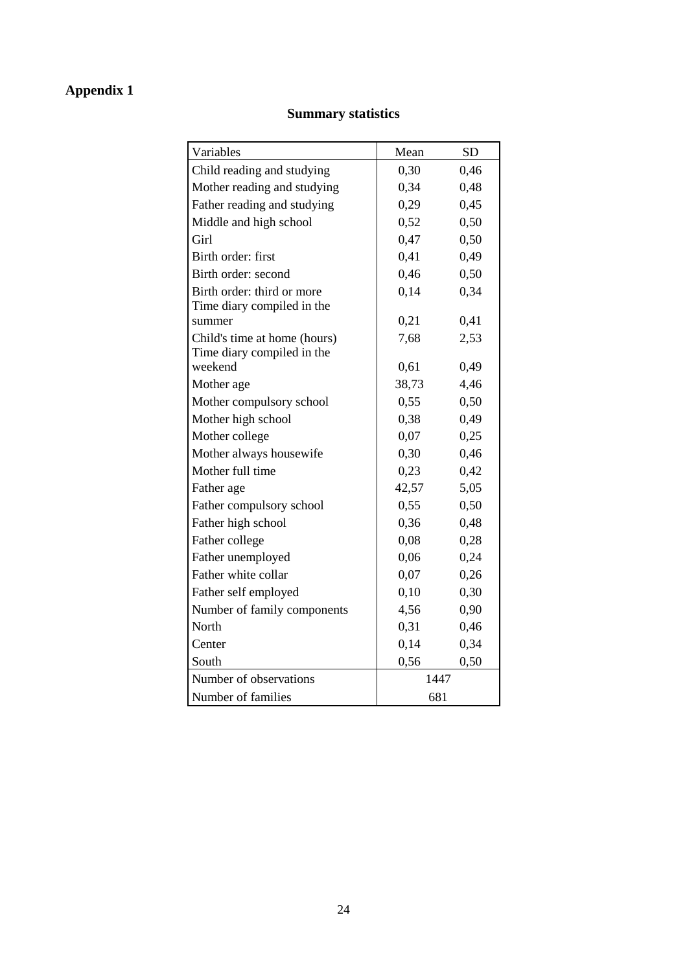# **Appendix 1**

### **Summary statistics**

| Variables                             | Mean  | <b>SD</b> |
|---------------------------------------|-------|-----------|
| Child reading and studying            | 0,30  | 0,46      |
| Mother reading and studying           | 0,34  | 0,48      |
| Father reading and studying           | 0,29  | 0,45      |
| Middle and high school                | 0,52  | 0,50      |
| Girl                                  | 0,47  | 0,50      |
| Birth order: first                    | 0,41  | 0,49      |
| Birth order: second                   | 0,46  | 0,50      |
| Birth order: third or more            | 0,14  | 0,34      |
| Time diary compiled in the            |       |           |
| summer                                | 0,21  | 0,41      |
| Child's time at home (hours)          | 7,68  | 2,53      |
| Time diary compiled in the<br>weekend | 0,61  | 0,49      |
| Mother age                            | 38,73 | 4,46      |
|                                       | 0,55  | 0,50      |
| Mother compulsory school              | 0,38  | 0,49      |
| Mother high school                    |       |           |
| Mother college                        | 0,07  | 0,25      |
| Mother always housewife               | 0,30  | 0,46      |
| Mother full time                      | 0,23  | 0,42      |
| Father age                            | 42,57 | 5,05      |
| Father compulsory school              | 0,55  | 0,50      |
| Father high school                    | 0,36  | 0,48      |
| Father college                        | 0,08  | 0,28      |
| Father unemployed                     | 0,06  | 0,24      |
| Father white collar                   | 0,07  | 0,26      |
| Father self employed                  | 0,10  | 0,30      |
| Number of family components           | 4,56  | 0,90      |
| North                                 | 0,31  | 0,46      |
| Center                                | 0,14  | 0,34      |
| South                                 | 0,56  | 0,50      |
| Number of observations                | 1447  |           |
| Number of families                    | 681   |           |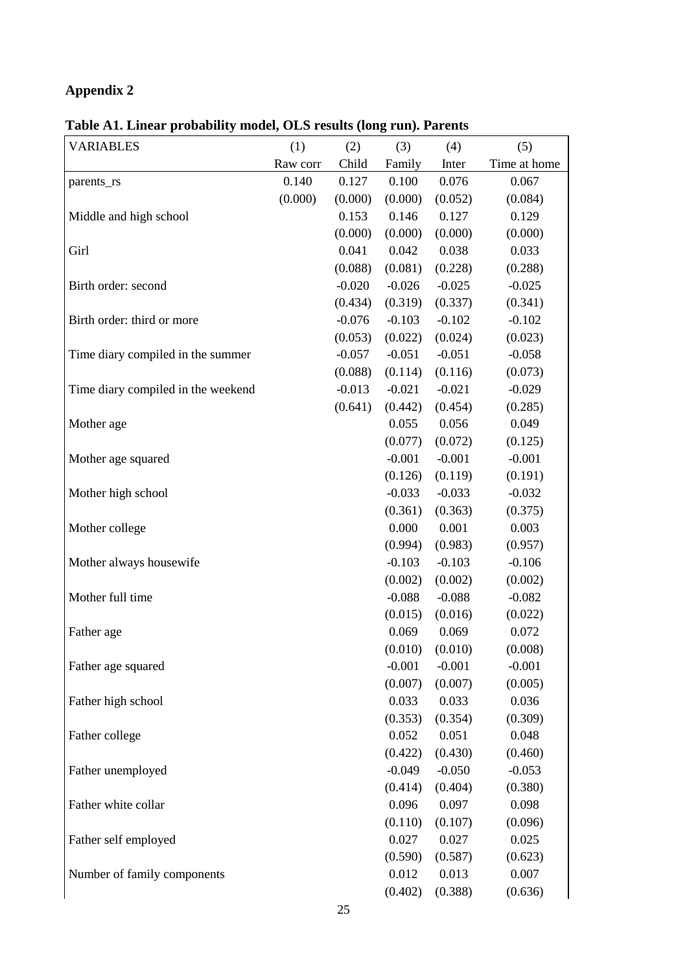# **Appendix 2**

| <b>VARIABLES</b>                   | (1)      | (2)      | (3)      | (4)      | (5)          |
|------------------------------------|----------|----------|----------|----------|--------------|
|                                    | Raw corr | Child    | Family   | Inter    | Time at home |
| parents_rs                         | 0.140    | 0.127    | 0.100    | 0.076    | 0.067        |
|                                    | (0.000)  | (0.000)  | (0.000)  | (0.052)  | (0.084)      |
| Middle and high school             |          | 0.153    | 0.146    | 0.127    | 0.129        |
|                                    |          | (0.000)  | (0.000)  | (0.000)  | (0.000)      |
| Girl                               |          | 0.041    | 0.042    | 0.038    | 0.033        |
|                                    |          | (0.088)  | (0.081)  | (0.228)  | (0.288)      |
| Birth order: second                |          | $-0.020$ | $-0.026$ | $-0.025$ | $-0.025$     |
|                                    |          | (0.434)  | (0.319)  | (0.337)  | (0.341)      |
| Birth order: third or more         |          | $-0.076$ | $-0.103$ | $-0.102$ | $-0.102$     |
|                                    |          | (0.053)  | (0.022)  | (0.024)  | (0.023)      |
| Time diary compiled in the summer  |          | $-0.057$ | $-0.051$ | $-0.051$ | $-0.058$     |
|                                    |          | (0.088)  | (0.114)  | (0.116)  | (0.073)      |
| Time diary compiled in the weekend |          | $-0.013$ | $-0.021$ | $-0.021$ | $-0.029$     |
|                                    |          | (0.641)  | (0.442)  | (0.454)  | (0.285)      |
| Mother age                         |          |          | 0.055    | 0.056    | 0.049        |
|                                    |          |          | (0.077)  | (0.072)  | (0.125)      |
| Mother age squared                 |          |          | $-0.001$ | $-0.001$ | $-0.001$     |
|                                    |          |          | (0.126)  | (0.119)  | (0.191)      |
| Mother high school                 |          |          | $-0.033$ | $-0.033$ | $-0.032$     |
|                                    |          |          | (0.361)  | (0.363)  | (0.375)      |
| Mother college                     |          |          | 0.000    | 0.001    | 0.003        |
|                                    |          |          | (0.994)  | (0.983)  | (0.957)      |
| Mother always housewife            |          |          | $-0.103$ | $-0.103$ | $-0.106$     |
|                                    |          |          | (0.002)  | (0.002)  | (0.002)      |
| Mother full time                   |          |          | $-0.088$ | $-0.088$ | $-0.082$     |
|                                    |          |          | (0.015)  | (0.016)  | (0.022)      |
| Father age                         |          |          | 0.069    | 0.069    | 0.072        |
|                                    |          |          | (0.010)  | (0.010)  | (0.008)      |
| Father age squared                 |          |          | $-0.001$ | $-0.001$ | $-0.001$     |
|                                    |          |          | (0.007)  | (0.007)  | (0.005)      |
| Father high school                 |          |          | 0.033    | 0.033    | 0.036        |
|                                    |          |          | (0.353)  | (0.354)  | (0.309)      |
| Father college                     |          |          | 0.052    | 0.051    | 0.048        |
|                                    |          |          | (0.422)  | (0.430)  | (0.460)      |
| Father unemployed                  |          |          | $-0.049$ | $-0.050$ | $-0.053$     |
|                                    |          |          | (0.414)  | (0.404)  | (0.380)      |
| Father white collar                |          |          | 0.096    | 0.097    | 0.098        |
|                                    |          |          | (0.110)  | (0.107)  | (0.096)      |
| Father self employed               |          |          | 0.027    | 0.027    | 0.025        |
|                                    |          |          | (0.590)  | (0.587)  | (0.623)      |
| Number of family components        |          |          | 0.012    | 0.013    | 0.007        |
|                                    |          |          | (0.402)  | (0.388)  | (0.636)      |

**Table A1. Linear probability model, OLS results (long run). Parents**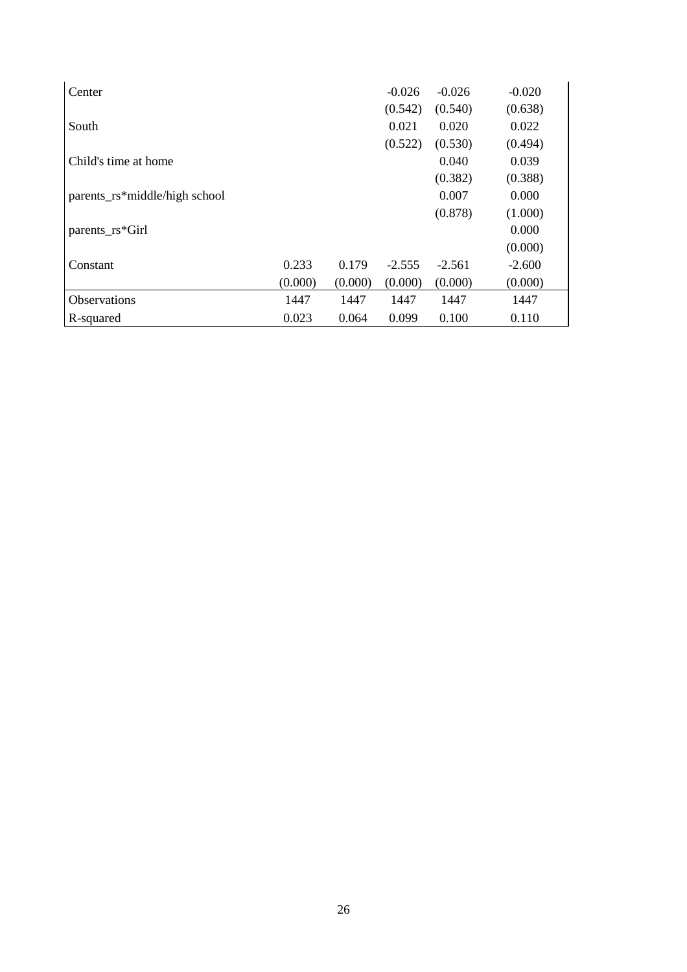| Center                        |         |         | $-0.026$ | $-0.026$ | $-0.020$ |
|-------------------------------|---------|---------|----------|----------|----------|
|                               |         |         | (0.542)  | (0.540)  | (0.638)  |
| South                         |         |         | 0.021    | 0.020    | 0.022    |
|                               |         |         | (0.522)  | (0.530)  | (0.494)  |
| Child's time at home          |         |         |          | 0.040    | 0.039    |
|                               |         |         |          | (0.382)  | (0.388)  |
| parents_rs*middle/high school |         |         |          | 0.007    | 0.000    |
|                               |         |         |          | (0.878)  | (1.000)  |
| parents_rs*Girl               |         |         |          |          | 0.000    |
|                               |         |         |          |          | (0.000)  |
| Constant                      | 0.233   | 0.179   | $-2.555$ | $-2.561$ | $-2.600$ |
|                               | (0.000) | (0.000) | (0.000)  | (0.000)  | (0.000)  |
| Observations                  | 1447    | 1447    | 1447     | 1447     | 1447     |
| R-squared                     | 0.023   | 0.064   | 0.099    | 0.100    | 0.110    |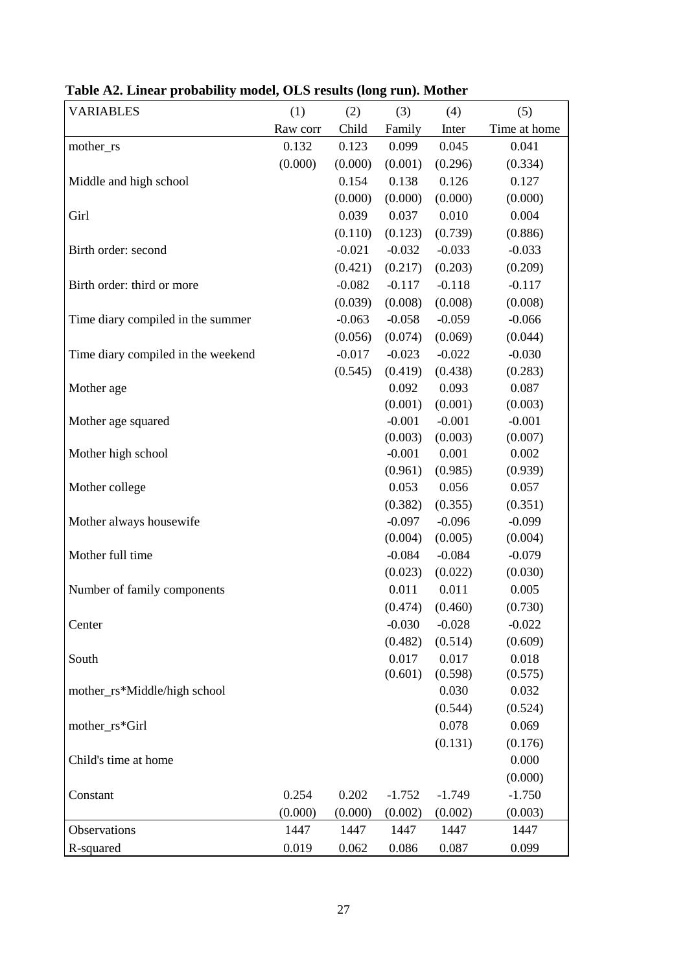| <b>VARIABLES</b>                   | (1)      | (2)      | (3)      | (4)      | (5)          |
|------------------------------------|----------|----------|----------|----------|--------------|
|                                    | Raw corr | Child    | Family   | Inter    | Time at home |
| mother_rs                          | 0.132    | 0.123    | 0.099    | 0.045    | 0.041        |
|                                    | (0.000)  | (0.000)  | (0.001)  | (0.296)  | (0.334)      |
| Middle and high school             |          | 0.154    | 0.138    | 0.126    | 0.127        |
|                                    |          | (0.000)  | (0.000)  | (0.000)  | (0.000)      |
| Girl                               |          | 0.039    | 0.037    | 0.010    | 0.004        |
|                                    |          | (0.110)  | (0.123)  | (0.739)  | (0.886)      |
| Birth order: second                |          | $-0.021$ | $-0.032$ | $-0.033$ | $-0.033$     |
|                                    |          | (0.421)  | (0.217)  | (0.203)  | (0.209)      |
| Birth order: third or more         |          | $-0.082$ | $-0.117$ | $-0.118$ | $-0.117$     |
|                                    |          | (0.039)  | (0.008)  | (0.008)  | (0.008)      |
| Time diary compiled in the summer  |          | $-0.063$ | $-0.058$ | $-0.059$ | $-0.066$     |
|                                    |          | (0.056)  | (0.074)  | (0.069)  | (0.044)      |
| Time diary compiled in the weekend |          | $-0.017$ | $-0.023$ | $-0.022$ | $-0.030$     |
|                                    |          | (0.545)  | (0.419)  | (0.438)  | (0.283)      |
| Mother age                         |          |          | 0.092    | 0.093    | 0.087        |
|                                    |          |          | (0.001)  | (0.001)  | (0.003)      |
| Mother age squared                 |          |          | $-0.001$ | $-0.001$ | $-0.001$     |
|                                    |          |          | (0.003)  | (0.003)  | (0.007)      |
| Mother high school                 |          |          | $-0.001$ | 0.001    | 0.002        |
|                                    |          |          | (0.961)  | (0.985)  | (0.939)      |
| Mother college                     |          |          | 0.053    | 0.056    | 0.057        |
|                                    |          |          | (0.382)  | (0.355)  | (0.351)      |
| Mother always housewife            |          |          | $-0.097$ | $-0.096$ | $-0.099$     |
|                                    |          |          | (0.004)  | (0.005)  | (0.004)      |
| Mother full time                   |          |          | $-0.084$ | $-0.084$ | $-0.079$     |
|                                    |          |          | (0.023)  | (0.022)  | (0.030)      |
| Number of family components        |          |          | 0.011    | 0.011    | 0.005        |
|                                    |          |          | (0.474)  | (0.460)  | (0.730)      |
| Center                             |          |          | $-0.030$ | $-0.028$ | $-0.022$     |
|                                    |          |          | (0.482)  | (0.514)  | (0.609)      |
| South                              |          |          | 0.017    | 0.017    | 0.018        |
|                                    |          |          | (0.601)  | (0.598)  | (0.575)      |
| mother_rs*Middle/high school       |          |          |          | 0.030    | 0.032        |
|                                    |          |          |          | (0.544)  | (0.524)      |
| mother_rs*Girl                     |          |          |          | 0.078    | 0.069        |
|                                    |          |          |          | (0.131)  | (0.176)      |
| Child's time at home               |          |          |          |          | 0.000        |
|                                    |          |          |          |          | (0.000)      |
| Constant                           | 0.254    | 0.202    | $-1.752$ | $-1.749$ | $-1.750$     |
|                                    | (0.000)  | (0.000)  | (0.002)  | (0.002)  | (0.003)      |
| Observations                       | 1447     | 1447     | 1447     | 1447     | 1447         |
| R-squared                          | 0.019    | 0.062    | 0.086    | 0.087    | 0.099        |

**Table A2. Linear probability model, OLS results (long run). Mother**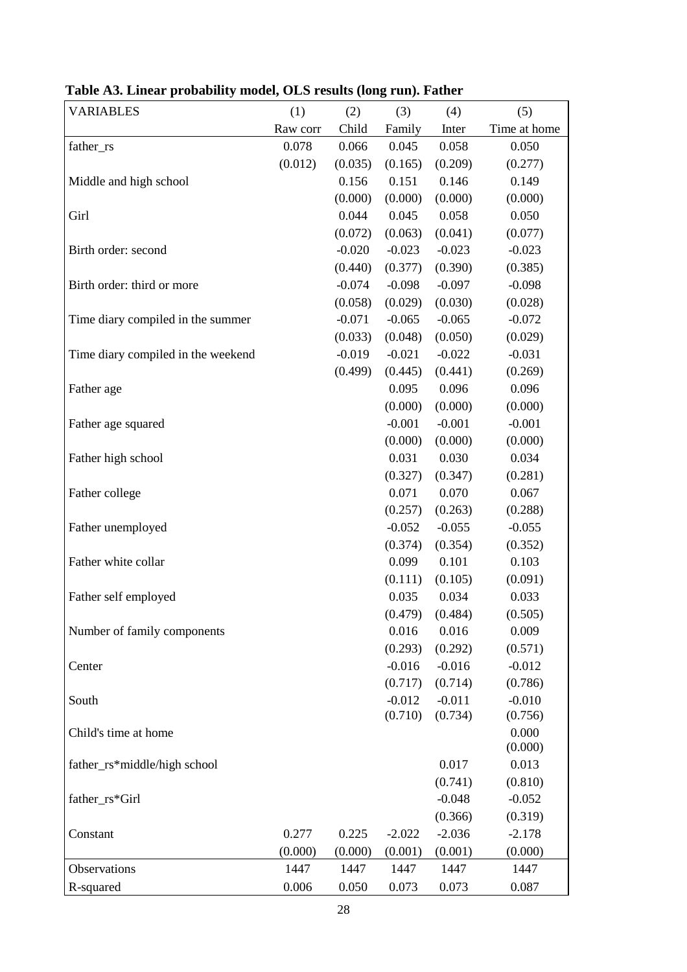| <b>VARIABLES</b>                   | (1)      | (2)      | (3)      | (4)      | (5)          |
|------------------------------------|----------|----------|----------|----------|--------------|
|                                    | Raw corr | Child    | Family   | Inter    | Time at home |
| father_rs                          | 0.078    | 0.066    | 0.045    | 0.058    | 0.050        |
|                                    | (0.012)  | (0.035)  | (0.165)  | (0.209)  | (0.277)      |
| Middle and high school             |          | 0.156    | 0.151    | 0.146    | 0.149        |
|                                    |          | (0.000)  | (0.000)  | (0.000)  | (0.000)      |
| Girl                               |          | 0.044    | 0.045    | 0.058    | 0.050        |
|                                    |          | (0.072)  | (0.063)  | (0.041)  | (0.077)      |
| Birth order: second                |          | $-0.020$ | $-0.023$ | $-0.023$ | $-0.023$     |
|                                    |          | (0.440)  | (0.377)  | (0.390)  | (0.385)      |
| Birth order: third or more         |          | $-0.074$ | $-0.098$ | $-0.097$ | $-0.098$     |
|                                    |          | (0.058)  | (0.029)  | (0.030)  | (0.028)      |
| Time diary compiled in the summer  |          | $-0.071$ | $-0.065$ | $-0.065$ | $-0.072$     |
|                                    |          | (0.033)  | (0.048)  | (0.050)  | (0.029)      |
| Time diary compiled in the weekend |          | $-0.019$ | $-0.021$ | $-0.022$ | $-0.031$     |
|                                    |          | (0.499)  | (0.445)  | (0.441)  | (0.269)      |
| Father age                         |          |          | 0.095    | 0.096    | 0.096        |
|                                    |          |          | (0.000)  | (0.000)  | (0.000)      |
| Father age squared                 |          |          | $-0.001$ | $-0.001$ | $-0.001$     |
|                                    |          |          | (0.000)  | (0.000)  | (0.000)      |
| Father high school                 |          |          | 0.031    | 0.030    | 0.034        |
|                                    |          |          | (0.327)  | (0.347)  | (0.281)      |
| Father college                     |          |          | 0.071    | 0.070    | 0.067        |
|                                    |          |          | (0.257)  | (0.263)  | (0.288)      |
| Father unemployed                  |          |          | $-0.052$ | $-0.055$ | $-0.055$     |
|                                    |          |          | (0.374)  | (0.354)  | (0.352)      |
| Father white collar                |          |          | 0.099    | 0.101    | 0.103        |
|                                    |          |          | (0.111)  | (0.105)  | (0.091)      |
| Father self employed               |          |          | 0.035    | 0.034    | 0.033        |
|                                    |          |          | (0.479)  | (0.484)  | (0.505)      |
| Number of family components        |          |          | 0.016    | 0.016    | 0.009        |
|                                    |          |          | (0.293)  | (0.292)  | (0.571)      |
| Center                             |          |          | $-0.016$ | $-0.016$ | $-0.012$     |
|                                    |          |          | (0.717)  | (0.714)  | (0.786)      |
| South                              |          |          | $-0.012$ | $-0.011$ | $-0.010$     |
|                                    |          |          | (0.710)  | (0.734)  | (0.756)      |
| Child's time at home               |          |          |          |          | 0.000        |
|                                    |          |          |          |          | (0.000)      |
| father_rs*middle/high school       |          |          |          | 0.017    | 0.013        |
|                                    |          |          |          | (0.741)  | (0.810)      |
| father_rs*Girl                     |          |          |          | $-0.048$ | $-0.052$     |
|                                    |          |          |          | (0.366)  | (0.319)      |
| Constant                           | 0.277    | 0.225    | $-2.022$ | $-2.036$ | $-2.178$     |
|                                    | (0.000)  | (0.000)  | (0.001)  | (0.001)  | (0.000)      |
| Observations                       | 1447     | 1447     | 1447     | 1447     | 1447         |
| R-squared                          | 0.006    | 0.050    | 0.073    | 0.073    | 0.087        |

# **Table A3. Linear probability model, OLS results (long run). Father**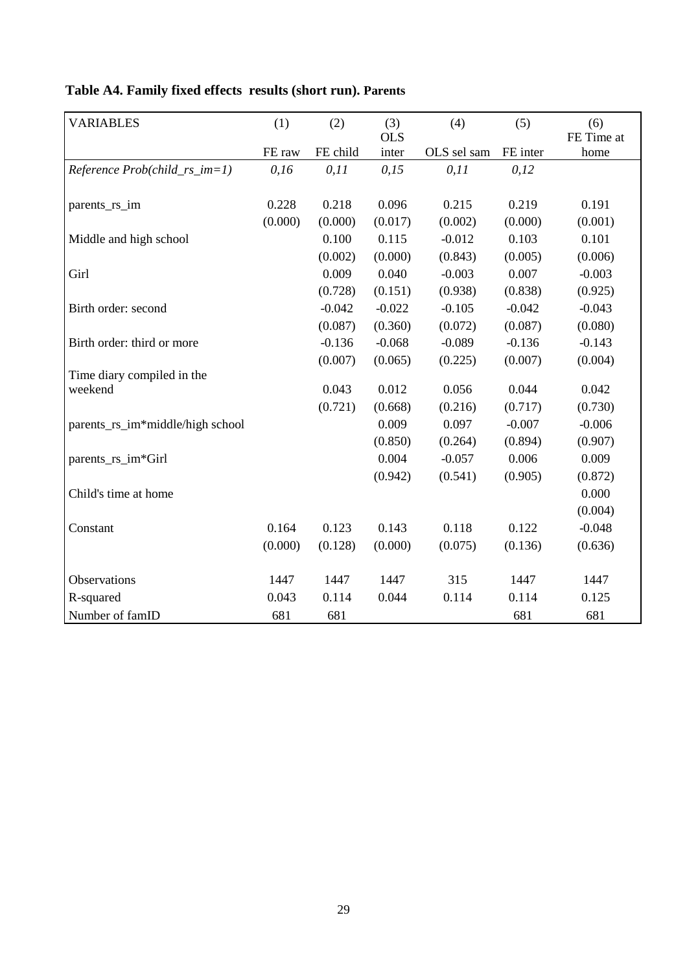| <b>VARIABLES</b>                  | (1)     | (2)      | (3)<br><b>OLS</b> | (4)         | (5)      | (6)<br>FE Time at |
|-----------------------------------|---------|----------|-------------------|-------------|----------|-------------------|
|                                   | FE raw  | FE child | inter             | OLS sel sam | FE inter | home              |
| $Reference Prob(child_r s_i = 1)$ | 0,16    | 0, 11    | 0,15              | 0, 11       | 0,12     |                   |
| parents_rs_im                     | 0.228   | 0.218    | 0.096             | 0.215       | 0.219    | 0.191             |
|                                   | (0.000) | (0.000)  | (0.017)           | (0.002)     | (0.000)  | (0.001)           |
| Middle and high school            |         | 0.100    | 0.115             | $-0.012$    | 0.103    | 0.101             |
|                                   |         | (0.002)  | (0.000)           | (0.843)     | (0.005)  | (0.006)           |
| Girl                              |         | 0.009    | 0.040             | $-0.003$    | 0.007    | $-0.003$          |
|                                   |         | (0.728)  | (0.151)           | (0.938)     | (0.838)  | (0.925)           |
| Birth order: second               |         | $-0.042$ | $-0.022$          | $-0.105$    | $-0.042$ | $-0.043$          |
|                                   |         | (0.087)  | (0.360)           | (0.072)     | (0.087)  | (0.080)           |
| Birth order: third or more        |         | $-0.136$ | $-0.068$          | $-0.089$    | $-0.136$ | $-0.143$          |
|                                   |         | (0.007)  | (0.065)           | (0.225)     | (0.007)  | (0.004)           |
| Time diary compiled in the        |         |          |                   |             |          |                   |
| weekend                           |         | 0.043    | 0.012             | 0.056       | 0.044    | 0.042             |
|                                   |         | (0.721)  | (0.668)           | (0.216)     | (0.717)  | (0.730)           |
| parents_rs_im*middle/high school  |         |          | 0.009             | 0.097       | $-0.007$ | $-0.006$          |
|                                   |         |          | (0.850)           | (0.264)     | (0.894)  | (0.907)           |
| parents_rs_im*Girl                |         |          | 0.004             | $-0.057$    | 0.006    | 0.009             |
|                                   |         |          | (0.942)           | (0.541)     | (0.905)  | (0.872)           |
| Child's time at home              |         |          |                   |             |          | 0.000             |
|                                   |         |          |                   |             |          | (0.004)           |
| Constant                          | 0.164   | 0.123    | 0.143             | 0.118       | 0.122    | $-0.048$          |
|                                   | (0.000) | (0.128)  | (0.000)           | (0.075)     | (0.136)  | (0.636)           |
| Observations                      | 1447    | 1447     | 1447              | 315         | 1447     | 1447              |
| R-squared                         | 0.043   | 0.114    | 0.044             | 0.114       | 0.114    | 0.125             |
| Number of famID                   | 681     | 681      |                   |             | 681      | 681               |

# **Table A4. Family fixed effects results (short run). Parents**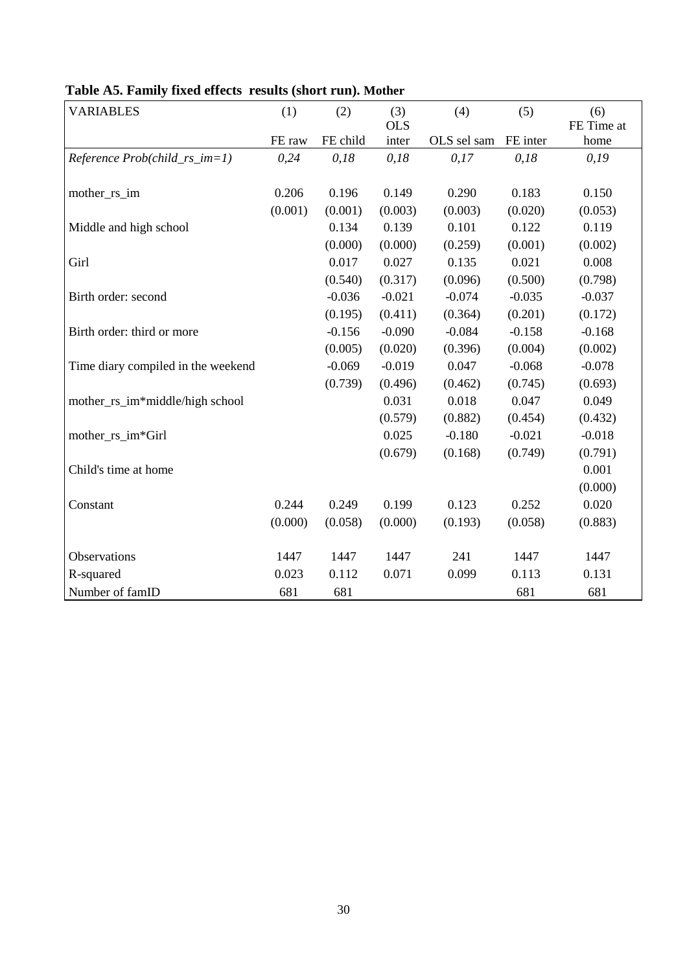| <b>VARIABLES</b>                   | (1)     | (2)      | (3)        | (4)         | (5)      | (6)        |
|------------------------------------|---------|----------|------------|-------------|----------|------------|
|                                    |         |          | <b>OLS</b> |             |          | FE Time at |
|                                    | FE raw  | FE child | inter      | OLS sel sam | FE inter | home       |
| Reference Prob(child_rs_im=1)      | 0,24    | 0,18     | 0,18       | 0,17        | 0,18     | 0,19       |
|                                    |         |          |            |             |          |            |
| mother_rs_im                       | 0.206   | 0.196    | 0.149      | 0.290       | 0.183    | 0.150      |
|                                    | (0.001) | (0.001)  | (0.003)    | (0.003)     | (0.020)  | (0.053)    |
| Middle and high school             |         | 0.134    | 0.139      | 0.101       | 0.122    | 0.119      |
|                                    |         | (0.000)  | (0.000)    | (0.259)     | (0.001)  | (0.002)    |
| Girl                               |         | 0.017    | 0.027      | 0.135       | 0.021    | 0.008      |
|                                    |         | (0.540)  | (0.317)    | (0.096)     | (0.500)  | (0.798)    |
| Birth order: second                |         | $-0.036$ | $-0.021$   | $-0.074$    | $-0.035$ | $-0.037$   |
|                                    |         | (0.195)  | (0.411)    | (0.364)     | (0.201)  | (0.172)    |
| Birth order: third or more         |         | $-0.156$ | $-0.090$   | $-0.084$    | $-0.158$ | $-0.168$   |
|                                    |         | (0.005)  | (0.020)    | (0.396)     | (0.004)  | (0.002)    |
| Time diary compiled in the weekend |         | $-0.069$ | $-0.019$   | 0.047       | $-0.068$ | $-0.078$   |
|                                    |         | (0.739)  | (0.496)    | (0.462)     | (0.745)  | (0.693)    |
| mother_rs_im*middle/high school    |         |          | 0.031      | 0.018       | 0.047    | 0.049      |
|                                    |         |          | (0.579)    | (0.882)     | (0.454)  | (0.432)    |
| mother_rs_im*Girl                  |         |          | 0.025      | $-0.180$    | $-0.021$ | $-0.018$   |
|                                    |         |          | (0.679)    | (0.168)     | (0.749)  | (0.791)    |
| Child's time at home               |         |          |            |             |          | 0.001      |
|                                    |         |          |            |             |          | (0.000)    |
| Constant                           | 0.244   | 0.249    | 0.199      | 0.123       | 0.252    | 0.020      |
|                                    | (0.000) | (0.058)  | (0.000)    | (0.193)     | (0.058)  | (0.883)    |
| Observations                       | 1447    | 1447     | 1447       | 241         | 1447     | 1447       |
| R-squared                          | 0.023   | 0.112    | 0.071      | 0.099       | 0.113    | 0.131      |
| Number of famID                    | 681     | 681      |            |             | 681      | 681        |

**Table A5. Family fixed effects results (short run). Mother**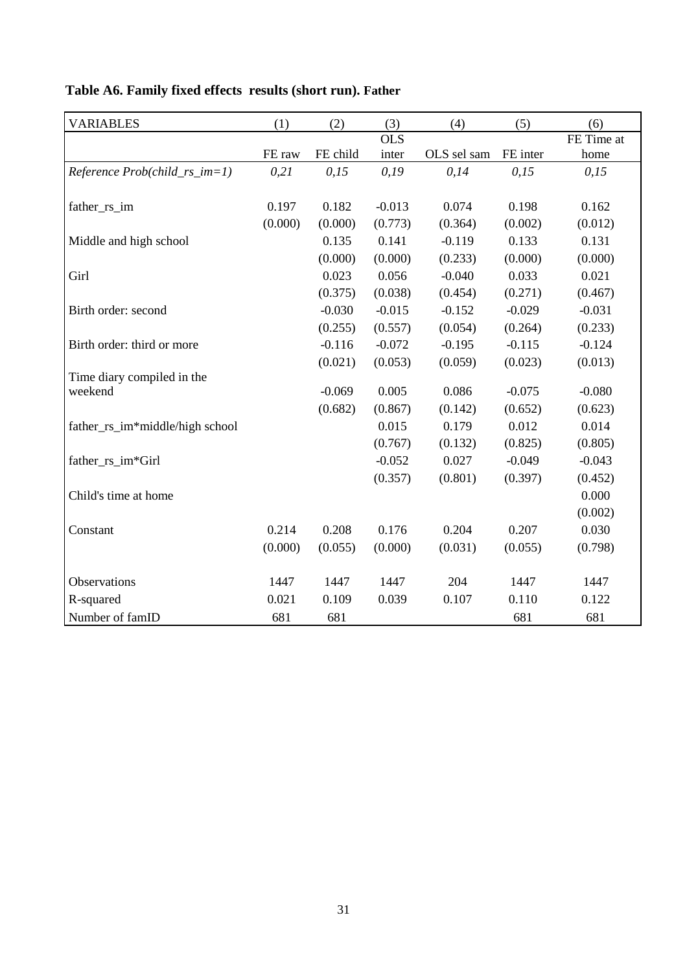| <b>VARIABLES</b>                | (1)     | (2)      | (3)        | (4)         | (5)      | (6)        |
|---------------------------------|---------|----------|------------|-------------|----------|------------|
|                                 |         |          | <b>OLS</b> |             |          | FE Time at |
|                                 | FE raw  | FE child | inter      | OLS sel sam | FE inter | home       |
| Reference Prob(child_rs_im=1)   | 0,21    | 0,15     | 0,19       | 0,14        | 0,15     | 0,15       |
|                                 |         |          |            |             |          |            |
| father_rs_im                    | 0.197   | 0.182    | $-0.013$   | 0.074       | 0.198    | 0.162      |
|                                 | (0.000) | (0.000)  | (0.773)    | (0.364)     | (0.002)  | (0.012)    |
| Middle and high school          |         | 0.135    | 0.141      | $-0.119$    | 0.133    | 0.131      |
|                                 |         | (0.000)  | (0.000)    | (0.233)     | (0.000)  | (0.000)    |
| Girl                            |         | 0.023    | 0.056      | $-0.040$    | 0.033    | 0.021      |
|                                 |         | (0.375)  | (0.038)    | (0.454)     | (0.271)  | (0.467)    |
| Birth order: second             |         | $-0.030$ | $-0.015$   | $-0.152$    | $-0.029$ | $-0.031$   |
|                                 |         | (0.255)  | (0.557)    | (0.054)     | (0.264)  | (0.233)    |
| Birth order: third or more      |         | $-0.116$ | $-0.072$   | $-0.195$    | $-0.115$ | $-0.124$   |
|                                 |         | (0.021)  | (0.053)    | (0.059)     | (0.023)  | (0.013)    |
| Time diary compiled in the      |         |          |            |             |          |            |
| weekend                         |         | $-0.069$ | 0.005      | 0.086       | $-0.075$ | $-0.080$   |
|                                 |         | (0.682)  | (0.867)    | (0.142)     | (0.652)  | (0.623)    |
| father_rs_im*middle/high school |         |          | 0.015      | 0.179       | 0.012    | 0.014      |
|                                 |         |          | (0.767)    | (0.132)     | (0.825)  | (0.805)    |
| father_rs_im*Girl               |         |          | $-0.052$   | 0.027       | $-0.049$ | $-0.043$   |
|                                 |         |          | (0.357)    | (0.801)     | (0.397)  | (0.452)    |
| Child's time at home            |         |          |            |             |          | 0.000      |
|                                 |         |          |            |             |          | (0.002)    |
| Constant                        | 0.214   | 0.208    | 0.176      | 0.204       | 0.207    | 0.030      |
|                                 | (0.000) | (0.055)  | (0.000)    | (0.031)     | (0.055)  | (0.798)    |
| Observations                    | 1447    | 1447     | 1447       | 204         | 1447     | 1447       |
|                                 | 0.021   | 0.109    | 0.039      |             | 0.110    | 0.122      |
| R-squared                       |         |          |            | 0.107       |          |            |
| Number of famID                 | 681     | 681      |            |             | 681      | 681        |

# **Table A6. Family fixed effects results (short run). Father**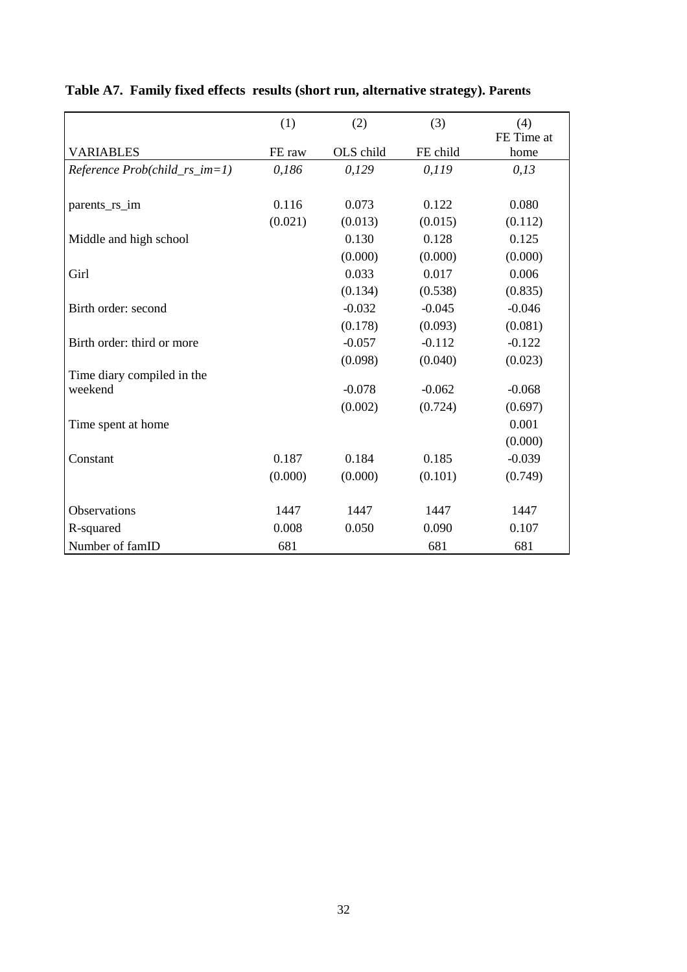|                                   | (1)     | (2)       | (3)      | (4)<br>FE Time at |
|-----------------------------------|---------|-----------|----------|-------------------|
| <b>VARIABLES</b>                  | FE raw  | OLS child | FE child | home              |
| $Reference Prob(child_rrs\_im=1)$ | 0,186   | 0,129     | 0,119    | 0,13              |
|                                   |         |           |          |                   |
| parents_rs_im                     | 0.116   | 0.073     | 0.122    | 0.080             |
|                                   | (0.021) | (0.013)   | (0.015)  | (0.112)           |
| Middle and high school            |         | 0.130     | 0.128    | 0.125             |
|                                   |         | (0.000)   | (0.000)  | (0.000)           |
| Girl                              |         | 0.033     | 0.017    | 0.006             |
|                                   |         | (0.134)   | (0.538)  | (0.835)           |
| Birth order: second               |         | $-0.032$  | $-0.045$ | $-0.046$          |
|                                   |         | (0.178)   | (0.093)  | (0.081)           |
| Birth order: third or more        |         | $-0.057$  | $-0.112$ | $-0.122$          |
|                                   |         | (0.098)   | (0.040)  | (0.023)           |
| Time diary compiled in the        |         |           |          |                   |
| weekend                           |         | $-0.078$  | $-0.062$ | $-0.068$          |
|                                   |         | (0.002)   | (0.724)  | (0.697)           |
| Time spent at home                |         |           |          | 0.001             |
|                                   |         |           |          | (0.000)           |
| Constant                          | 0.187   | 0.184     | 0.185    | $-0.039$          |
|                                   | (0.000) | (0.000)   | (0.101)  | (0.749)           |
|                                   |         |           |          |                   |
| Observations                      | 1447    | 1447      | 1447     | 1447              |
| R-squared                         | 0.008   | 0.050     | 0.090    | 0.107             |
| Number of famID                   | 681     |           | 681      | 681               |

# **Table A7. Family fixed effects results (short run, alternative strategy). Parents**